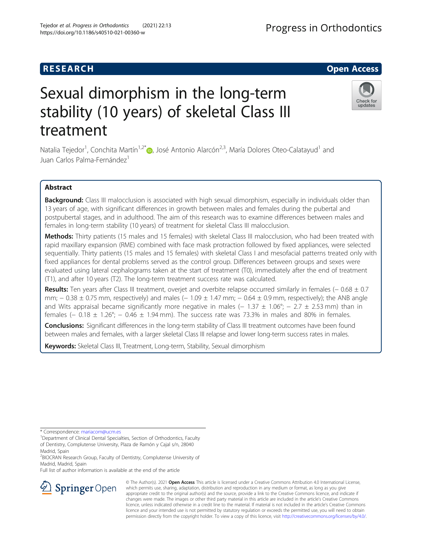# **RESEARCH CHILD CONTROL** CONTROL CONTROL CONTROL CONTROL CONTROL CONTROL CONTROL CONTROL CONTROL CONTROL CONTROL

# Sexual dimorphism in the long-term stability (10 years) of skeletal Class III treatment

Natalia Tejedor<sup>1</sup>, Conchita Martín<sup>1,2\*</sup>®, José Antonio Alarcón<sup>2,3</sup>, María Dolores Oteo-Calatayud<sup>1</sup> and Juan Carlos Palma-Fernández<sup>1</sup>

# Abstract

Background: Class III malocclusion is associated with high sexual dimorphism, especially in individuals older than 13 years of age, with significant differences in growth between males and females during the pubertal and postpubertal stages, and in adulthood. The aim of this research was to examine differences between males and females in long-term stability (10 years) of treatment for skeletal Class III malocclusion.

Methods: Thirty patients (15 males and 15 females) with skeletal Class III malocclusion, who had been treated with rapid maxillary expansion (RME) combined with face mask protraction followed by fixed appliances, were selected sequentially. Thirty patients (15 males and 15 females) with skeletal Class I and mesofacial patterns treated only with fixed appliances for dental problems served as the control group. Differences between groups and sexes were evaluated using lateral cephalograms taken at the start of treatment (T0), immediately after the end of treatment (T1), and after 10 years (T2). The long-term treatment success rate was calculated.

Results: Ten years after Class III treatment, overjet and overbite relapse occurred similarly in females (− 0.68 ± 0.7 mm;  $-0.38 \pm 0.75$  mm, respectively) and males ( $-1.09 \pm 1.47$  mm;  $-0.64 \pm 0.9$  mm, respectively); the ANB angle and Wits appraisal became significantly more negative in males ( $-1.37 \pm 1.06^{\circ}$ ;  $- 2.7 \pm 2.53$  mm) than in females (− 0.18  $\pm$  1.26°; − 0.46  $\pm$  1.94 mm). The success rate was 73.3% in males and 80% in females.

**Conclusions:** Significant differences in the long-term stability of Class III treatment outcomes have been found between males and females, with a larger skeletal Class III relapse and lower long-term success rates in males.

Keywords: Skeletal Class III, Treatment, Long-term, Stability, Sexual dimorphism

\* Correspondence: [mariacom@ucm.es](mailto:mariacom@ucm.es) <sup>1</sup>

<sup>2</sup> BIOCRAN Research Group, Faculty of Dentistry, Complutense University of Madrid, Madrid, Spain

Full list of author information is available at the end of the article



© The Author(s). 2021 Open Access This article is licensed under a Creative Commons Attribution 4.0 International License, which permits use, sharing, adaptation, distribution and reproduction in any medium or format, as long as you give appropriate credit to the original author(s) and the source, provide a link to the Creative Commons licence, and indicate if changes were made. The images or other third party material in this article are included in the article's Creative Commons licence, unless indicated otherwise in a credit line to the material. If material is not included in the article's Creative Commons licence and your intended use is not permitted by statutory regulation or exceeds the permitted use, you will need to obtain permission directly from the copyright holder. To view a copy of this licence, visit <http://creativecommons.org/licenses/by/4.0/>.



updates

<sup>&</sup>lt;sup>1</sup> Department of Clinical Dental Specialties, Section of Orthodontics, Faculty of Dentistry, Complutense University, Plaza de Ramón y Cajal s/n, 28040 Madrid, Spain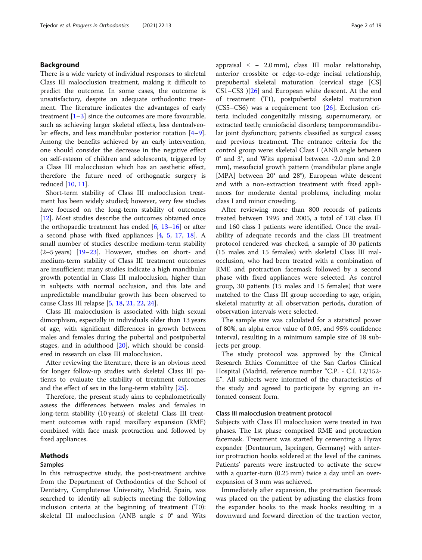# Background

There is a wide variety of individual responses to skeletal Class III malocclusion treatment, making it difficult to predict the outcome. In some cases, the outcome is unsatisfactory, despite an adequate orthodontic treatment. The literature indicates the advantages of early treatment [[1](#page-17-0)–[3\]](#page-17-0) since the outcomes are more favourable, such as achieving larger skeletal effects, less dentoalveolar effects, and less mandibular posterior rotation [\[4](#page-18-0)–[9](#page-18-0)]. Among the benefits achieved by an early intervention, one should consider the decrease in the negative effect on self-esteem of children and adolescents, triggered by a Class III malocclusion which has an aesthetic effect, therefore the future need of orthognatic surgery is reduced [\[10](#page-18-0), [11](#page-18-0)].

Short-term stability of Class III malocclusion treatment has been widely studied; however, very few studies have focused on the long-term stability of outcomes [[12\]](#page-18-0). Most studies describe the outcomes obtained once the orthopaedic treatment has ended  $[6, 13-16]$  $[6, 13-16]$  $[6, 13-16]$  $[6, 13-16]$  $[6, 13-16]$  $[6, 13-16]$  $[6, 13-16]$  or after a second phase with fixed appliances [[4,](#page-18-0) [5](#page-18-0), [17,](#page-18-0) [18\]](#page-18-0). A small number of studies describe medium-term stability (2–5 years) [[19](#page-18-0)–[23](#page-18-0)]. However, studies on short- and medium-term stability of Class III treatment outcomes are insufficient; many studies indicate a high mandibular growth potential in Class III malocclusion, higher than in subjects with normal occlusion, and this late and unpredictable mandibular growth has been observed to cause Class III relapse [\[5](#page-18-0), [18](#page-18-0), [21](#page-18-0), [22,](#page-18-0) [24\]](#page-18-0).

Class III malocclusion is associated with high sexual dimorphism, especially in individuals older than 13 years of age, with significant differences in growth between males and females during the pubertal and postpubertal stages, and in adulthood [\[20](#page-18-0)], which should be considered in research on class III malocclusion.

After reviewing the literature, there is an obvious need for longer follow-up studies with skeletal Class III patients to evaluate the stability of treatment outcomes and the effect of sex in the long-term stability [[25](#page-18-0)].

Therefore, the present study aims to cephalometrically assess the differences between males and females in long-term stability (10 years) of skeletal Class III treatment outcomes with rapid maxillary expansion (RME) combined with face mask protraction and followed by fixed appliances.

# Methods

# Samples

In this retrospective study, the post-treatment archive from the Department of Orthodontics of the School of Dentistry, Complutense University, Madrid, Spain, was searched to identify all subjects meeting the following inclusion criteria at the beginning of treatment (T0): skeletal III malocclusion (ANB angle  $\leq 0^\circ$  and Wits

appraisal  $\leq$  - 2.0 mm), class III molar relationship, anterior crossbite or edge-to-edge incisal relationship, prepubertal skeletal maturation (cervical stage [CS]  $CS1-CS3$  )[[26](#page-18-0)] and European white descent. At the end of treatment (T1), postpubertal skeletal maturation (CS5–CS6) was a requirement too [\[26](#page-18-0)]. Exclusion criteria included congenitally missing, supernumerary, or extracted teeth; craniofacial disorders; temporomandibular joint dysfunction; patients classified as surgical cases; and previous treatment. The entrance criteria for the control group were: skeletal Class I (ANB angle between 0° and 3°, and Wits appraisal between -2.0 mm and 2.0 mm), mesofacial growth pattern (mandibular plane angle [MPA] between 20° and 28°), European white descent and with a non-extraction treatment with fixed appliances for moderate dental problems, including molar class I and minor crowding.

After reviewing more than 800 records of patients treated between 1995 and 2005, a total of 120 class III and 160 class I patients were identified. Once the availability of adequate records and the class III treatment protocol rendered was checked, a sample of 30 patients (15 males and 15 females) with skeletal Class III malocclusion, who had been treated with a combination of RME and protraction facemask followed by a second phase with fixed appliances were selected. As control group, 30 patients (15 males and 15 females) that were matched to the Class III group according to age, origin, skeletal maturity at all observation periods, duration of observation intervals were selected.

The sample size was calculated for a statistical power of 80%, an alpha error value of 0.05, and 95% confidence interval, resulting in a minimum sample size of 18 subjects per group.

The study protocol was approved by the Clinical Research Ethics Committee of the San Carlos Clinical Hospital (Madrid, reference number "C.P. - C.I. 12/152- E". All subjects were informed of the characteristics of the study and agreed to participate by signing an informed consent form.

# Class III malocclusion treatment protocol

Subjects with Class III malocclusion were treated in two phases. The 1st phase comprised RME and protraction facemask. Treatment was started by cementing a Hyrax expander (Dentaurum, Ispringen, Germany) with anterior protraction hooks soldered at the level of the canines. Patients' parents were instructed to activate the screw with a quarter-turn (0.25 mm) twice a day until an overexpansion of 3 mm was achieved.

Immediately after expansion, the protraction facemask was placed on the patient by adjusting the elastics from the expander hooks to the mask hooks resulting in a downward and forward direction of the traction vector,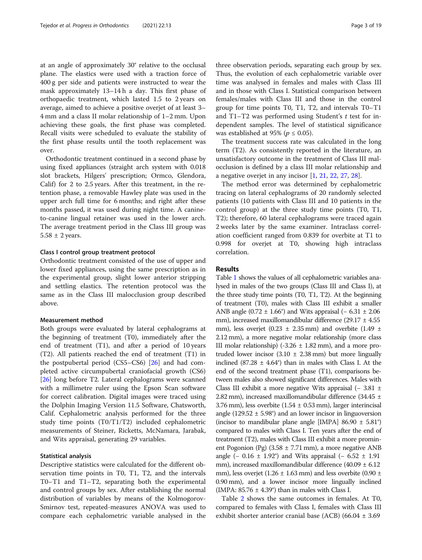at an angle of approximately 30° relative to the occlusal plane. The elastics were used with a traction force of 400 g per side and patients were instructed to wear the mask approximately 13–14 h a day. This first phase of orthopaedic treatment, which lasted 1.5 to 2 years on average, aimed to achieve a positive overjet of at least 3– 4 mm and a class II molar relationship of 1–2 mm. Upon achieving these goals, the first phase was completed. Recall visits were scheduled to evaluate the stability of the first phase results until the tooth replacement was over.

Orthodontic treatment continued in a second phase by using fixed appliances (straight arch system with 0.018 slot brackets, Hilgers' prescription; Ormco, Glendora, Calif) for 2 to 2.5 years. After this treatment, in the retention phase, a removable Hawley plate was used in the upper arch full time for 6 months; and right after these months passed, it was used during night time. A canineto-canine lingual retainer was used in the lower arch. The average treatment period in the Class III group was  $5.58 \pm 2$  years.

# Class I control group treatment protocol

Orthodontic treatment consisted of the use of upper and lower fixed appliances, using the same prescription as in the experimental group, slight lower anterior stripping and settling elastics. The retention protocol was the same as in the Class III malocclusion group described above.

# Measurement method

Both groups were evaluated by lateral cephalograms at the beginning of treatment (T0), immediately after the end of treatment (T1), and after a period of 10 years (T2). All patients reached the end of treatment (T1) in the postpubertal period (CS5–CS6) [\[26\]](#page-18-0) and had completed active circumpubertal craniofacial growth (CS6) [[26\]](#page-18-0) long before T2. Lateral cephalograms were scanned with a millimetre ruler using the Epson Scan software for correct calibration. Digital images were traced using the Dolphin Imaging Version 11.5 Software, Chatsworth, Calif. Cephalometric analysis performed for the three study time points (T0/T1/T2) included cephalometric measurements of Steiner, Ricketts, McNamara, Jarabak, and Wits appraisal, generating 29 variables.

## Statistical analysis

Descriptive statistics were calculated for the different observation time points in T0, T1, T2, and the intervals T0–T1 and T1–T2, separating both the experimental and control groups by sex. After establishing the normal distribution of variables by means of the Kolmogorov-Smirnov test, repeated-measures ANOVA was used to compare each cephalometric variable analysed in the

three observation periods, separating each group by sex. Thus, the evolution of each cephalometric variable over time was analysed in females and males with Class III and in those with Class I. Statistical comparison between females/males with Class III and those in the control group for time points T0, T1, T2, and intervals T0–T1 and  $T1-T2$  was performed using Student's  $t$  test for independent samples. The level of statistical significance was established at 95% ( $p \leq 0.05$ ).

The treatment success rate was calculated in the long term (T2). As consistently reported in the literature, an unsatisfactory outcome in the treatment of Class III malocclusion is defined by a class III molar relationship and a negative overjet in any incisor [[1,](#page-17-0) [21,](#page-18-0) [22,](#page-18-0) [27,](#page-18-0) [28](#page-18-0)].

The method error was determined by cephalometric tracing on lateral cephalograms of 20 randomly selected patients (10 patients with Class III and 10 patients in the control group) at the three study time points (T0, T1, T2); therefore, 60 lateral cephalograms were traced again 2 weeks later by the same examiner. Intraclass correlation coefficient ranged from 0.839 for overbite at T1 to 0.998 for overjet at T0, showing high intraclass correlation.

# Results

Table [1](#page-3-0) shows the values of all cephalometric variables analysed in males of the two groups (Class III and Class I), at the three study time points (T0, T1, T2). At the beginning of treatment (T0), males with Class III exhibit a smaller ANB angle (0.72  $\pm$  1.66°) and Wits appraisal (– 6.31  $\pm$  2.06 mm), increased maxillomandibular difference (29.17  $\pm$  4.55 mm), less overjet (0.23  $\pm$  2.35 mm) and overbite (1.49  $\pm$ 2.12 mm), a more negative molar relationship (more class III molar relationship) (-3.26  $\pm$  1.82 mm), and a more protruded lower incisor  $(3.10 \pm 2.38 \text{ mm})$  but more lingually inclined (87.28  $\pm$  4.64°) than in males with Class I. At the end of the second treatment phase (T1), comparisons between males also showed significant differences. Males with Class III exhibit a more negative Wits appraisal  $(-3.81 \pm 1)$ 2.82 mm), increased maxillomandibular difference (34.45  $\pm$ 3.76 mm), less overbite  $(1.54 \pm 0.53 \text{ mm})$ , larger interincisal angle (129.52  $\pm$  5.98°) and an lower incisor in linguoversion (incisor to mandibular plane angle [IMPA] 86.90  $\pm$  5.81°) compared to males with Class I. Ten years after the end of treatment (T2), males with Class III exhibit a more prominent Pogonion (Pg)  $(3.58 \pm 7.71 \text{ mm})$ , a more negative ANB angle (− 0.16  $\pm$  1.92°) and Wits appraisal (− 6.52  $\pm$  1.91 mm), increased maxillomandibular difference  $(40.09 \pm 6.12)$ mm), less overjet (1.26  $\pm$  1.63 mm) and less overbite (0.90  $\pm$ 0.90 mm), and a lower incisor more lingually inclined (IMPA:  $85.76 \pm 4.39^{\circ}$ ) than in males with Class I.

Table [2](#page-5-0) shows the same outcomes in females. At T0, compared to females with Class I, females with Class III exhibit shorter anterior cranial base (ACB) (66.04  $\pm$  3.69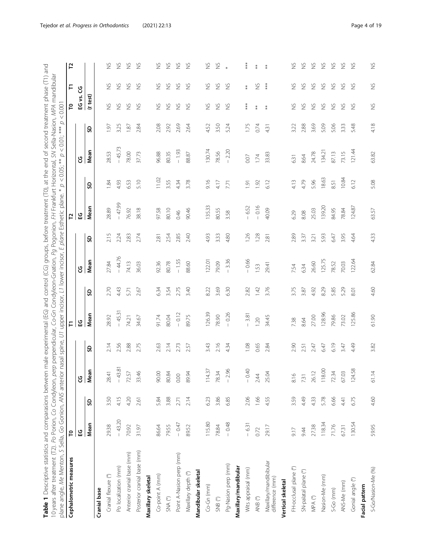<span id="page-3-0"></span>

| 10 years after treatment (T2). Po Porion, Co Condyleon,<br>plane angle, Me Menton, S Sella, Go Gonion, ANS anter |          |      |                      |      | ior nasal spine, U1 upper incisor, L1 lower incisor, |      |          | $\overline{L}$ | plane Esthetic plane. * | $\overline{\omega}$ | perp perpendicular, Co-Gn Condyleon-Gnation, Pg Pogonion, FH Frankfurt Horizontal, SN Sella-Nasion, MPA mandibular<br>p<br>$< 0.05;$ ** | $\mathcal{Q}$<br>$< 0.01;$ *** | < 0.001            |               |               |
|------------------------------------------------------------------------------------------------------------------|----------|------|----------------------|------|------------------------------------------------------|------|----------|----------------|-------------------------|---------------------|-----------------------------------------------------------------------------------------------------------------------------------------|--------------------------------|--------------------|---------------|---------------|
| Cephalometric measures                                                                                           | ဥ        |      |                      |      | F                                                    |      |          |                | 5                       |                     |                                                                                                                                         |                                | ဥ                  | F             | 5             |
|                                                                                                                  | ပ္မ      |      | ଞ∣ଞ                  |      | ပ္မ                                                  |      | ပ္ပ      |                | 업                       |                     | ပ္ပ                                                                                                                                     |                                | EG vs.             | უ             |               |
|                                                                                                                  | Mean     | S    | lean                 | င္တ  | Mean                                                 | င္တ  | Mean     | S              | Mean                    | င္တ                 | Mean                                                                                                                                    | S                              | (t test)           |               |               |
| Cranial base                                                                                                     |          |      |                      |      |                                                      |      |          |                |                         |                     |                                                                                                                                         |                                |                    |               |               |
| Cranial flexure (°)                                                                                              | 29.38    | 3.50 | 28.41                | 2.14 | 28.92                                                | 2.70 | 27.84    | 2.15           | 28.89                   | 1.84                | 28.53                                                                                                                                   | $\overline{197}$               | $\gtrapprox$       | S             | $\frac{5}{2}$ |
| Po localization (mm)                                                                                             | $-43.20$ | 4.15 | 43.81<br>$\mathbb T$ | 2.56 | $-45.31$                                             | 4.43 | $-44.76$ | 2.24           | $-47.99$                | 4.93                | $-45.73$                                                                                                                                | 3.25                           | $\gtrapprox$       | $\frac{8}{2}$ | $\frac{5}{2}$ |
| Anterior cranial base (mm)                                                                                       | 70.92    | 4.20 | 72.57                | 2.88 | 74.21                                                | 5.71 | 74.13    | 2.83           | 76.92                   | 6.53                | 78.00                                                                                                                                   | 187                            | $\gtrapprox$       | $\frac{5}{2}$ | $\gtrapprox$  |
| Posterior cranial base (mm)                                                                                      | 31.97    | 2.61 | $\frac{4}{5}$<br>33. | 2.75 | 34.67                                                | 2.67 | 36.03    | 2.74           | 38.18                   | 5.10                | 37.73                                                                                                                                   | 284                            | $\frac{8}{2}$      | $\frac{8}{2}$ | $\frac{5}{2}$ |
| Maxillary skeletal                                                                                               |          |      |                      |      |                                                      |      |          |                |                         |                     |                                                                                                                                         |                                |                    |               |               |
| Co-point A (mm)                                                                                                  | 86.64    | 5.84 | 90.00                | 2.63 | 91.74                                                | 6.34 | 92.36    | 2.81           | 97.58                   | 11.02               | 96.88                                                                                                                                   | 2.08                           | $\frac{8}{2}$      | S             | $\frac{5}{2}$ |
| $\mathsf{SNA}\ \mathsf{(}^{\mathsf{o}}\!\mathsf{)}$                                                              | 79.55    | 3.88 | 80.84                | 2.14 | 80.04                                                | 3.54 | 80.78    | 2.54           | 80.10                   | 3.55                | 80.35                                                                                                                                   | 2.92                           | $\gtrapprox$       | $\frac{1}{2}$ | $\frac{5}{2}$ |
| Point A-Nasion perp (mm)                                                                                         | $-0.47$  | 2.71 | 0.00                 | 2.73 | $-0.12$                                              | 2.75 | $-1.55$  | 2.85           | 0.46                    | 4.34                | $-1.93$                                                                                                                                 | 2.69                           | $\frac{6}{2}$      | $\frac{8}{2}$ | $\gtrapprox$  |
| Maxillary depth (°)                                                                                              | 89.52    | 2.14 | 89.94                | 2.57 | 89.75                                                | 3.40 | 88.60    | 2.40           | 90.46                   | 3.78                | 88.87                                                                                                                                   | 2.64                           | $\frac{6}{2}$      | $\frac{6}{2}$ | $\frac{5}{2}$ |
| Mandibular skeletal                                                                                              |          |      |                      |      |                                                      |      |          |                |                         |                     |                                                                                                                                         |                                |                    |               |               |
| Co-Gn (mm)                                                                                                       | 115.80   | 6.23 | 14.37<br>Ξ           | 3.43 | 126.39                                               | 8.22 | 122.01   | 4.93           | 135.33                  | 9.16                | 130.74                                                                                                                                  | 4.52                           | $\gtrapprox$       | S             | $\frac{5}{2}$ |
| $SNB$ ( $^{\circ}$ )                                                                                             | 78.84    | 3.86 | 78.34                | 2.16 | 78.90                                                | 3.69 | 79.09    | 3.33           | 80.55                   | 4.17                | 78.56                                                                                                                                   | 3.50                           | $\gtrapprox$       | $\frac{8}{2}$ | $\gtrapprox$  |
| Pg-Nasion perp (mm)                                                                                              | $-0.48$  | 6.85 | 2.96<br>$\mathsf I$  | 4.34 | $-0.26$                                              | 6.30 | 3.36     | 4.80           | 3.58                    | 7.71                | $-2.20$                                                                                                                                 | 5.24                           | $\frac{8}{2}$      | $\frac{5}{2}$ |               |
| Maxillary/mandibular                                                                                             |          |      |                      |      |                                                      |      |          |                |                         |                     |                                                                                                                                         |                                |                    |               |               |
| Wits appraisal (mm)                                                                                              | $-6.31$  | 2.06 | 0.40<br>$\mathbf{L}$ | 1.08 | $-3.81$                                              | 2.82 | $-0.66$  | 1.26           | $-6.52$                 | $\overline{1}$ .91  | 0.07                                                                                                                                    | 1.75                           | $***$              | $\ddot{*}$    | ∗∗∗           |
| ANB (°)                                                                                                          | 0.72     | 1.66 | 2.44                 | 0.65 | 1.20                                                 | 1.42 | 1.53     | 1.28           | $-0.16$                 | 1.92                | 1.74                                                                                                                                    | 0.74                           | $\ddot{*}$         | $\gtrapprox$  |               |
| Maxillary/mandibibular<br>difference (mm)                                                                        | 29.17    | 4.55 | 25.04                | 2.84 | 34.45                                                | 3.76 | 29.41    | 2.81           | 40.09                   | 6.12                | 33.83                                                                                                                                   | 4.31                           | $\ddot{*}$         | $***$         |               |
| Vertical skeletal                                                                                                |          |      |                      |      |                                                      |      |          |                |                         |                     |                                                                                                                                         |                                |                    |               |               |
| FH-occlusal plane (°)                                                                                            | 9.17     | 3.59 | $\circ$<br>$\infty$  | 2.90 | 7.38                                                 | 3.75 | 7.54     | 2.89           | 6.29                    | 4.13                | 6.31                                                                                                                                    | 3.22                           | S                  | S             | $\frac{5}{2}$ |
| SN-palatal plane (°)                                                                                             | 9.44     | 4.49 | 731                  | 2.51 | 8.64                                                 | 3.87 | 6.34     | 3.37           | 8.08                    | 4.79                | 8.64                                                                                                                                    | 2.88                           | $\frac{\omega}{2}$ | $\frac{5}{2}$ | $\gtrapprox$  |
| $\ensuremath{\mathsf{MPA}}$<br>$\ensuremath{(^{\mathrm{o}}}\ensuremath{)}$                                       | 27.38    | 4.33 | 26.12                | 2.47 | 27.00                                                | 4.92 | 26.60    | 3.21           | 25.03                   | 5.96                | 24.78                                                                                                                                   | 3.69                           | $\frac{\omega}{2}$ | $\frac{5}{2}$ | $\gtrapprox$  |
| Nasion-Me (mm)                                                                                                   | 118.34   | 5.78 | 118.00               | 6.47 | 128.96                                               | 8.29 | 125.75   | 5.93           | 139.20                  | 18.63               | 134.21                                                                                                                                  | 5.09                           | $\frac{\omega}{2}$ | $\frac{5}{2}$ | $\gtrapprox$  |
| $S-Go$ (mm)                                                                                                      | 71.76    | 6.66 | 72.34                | 6.19 | 79.86                                                | 5.85 | 78.52    | 6.47           | 84.95                   | 8.51                | 87.13                                                                                                                                   | 5.06                           | $\frac{6}{2}$      | $\frac{1}{2}$ | $\gtrapprox$  |
| ANS-Me (mm)                                                                                                      | 67.31    | 4.41 | 03<br>$\mathcal{Q}$  | 3.47 | 73.02                                                | 5.29 | 70.03    | 3.95           | 78.84                   | 10.84               | 73.15                                                                                                                                   | 3.33                           | $\frac{8}{2}$      | $\frac{5}{2}$ | $\frac{5}{2}$ |
| Gonial angle (°)                                                                                                 | 130.54   | 6.75 | 124.58               | 4.49 | 125.86                                               | 8.01 | 122.64   | 4.64           | 124.87                  | 6.12                | 121.44                                                                                                                                  | 5.48                           | $\gtrapprox$       | $\frac{5}{2}$ | $\frac{5}{2}$ |
| Facial pattern                                                                                                   |          |      |                      |      |                                                      |      |          |                |                         |                     |                                                                                                                                         |                                |                    |               |               |
| S-Go/Nasion-Me (%)                                                                                               | 59.95    | 4.60 | 61.14                | 3.82 | 61.90                                                | 4.60 | 62.84    | 4.33           | 63.57                   | 5.08                | 63.82                                                                                                                                   | 4.18                           | $\frac{5}{2}$      | $\gtrapprox$  | $\frac{5}{2}$ |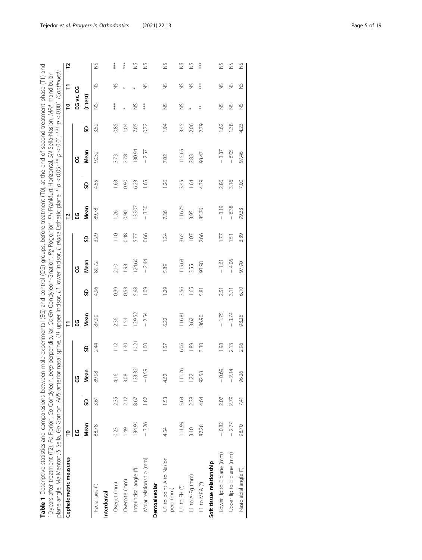| ween male experimental (EG) and control (CG) groups, before treatment (T0), at the end of second treatment phase (T1) and | on, perp perpendicular, Co-Gn Condyleon-Gnation, Pg Pogonion, FH Frankfurt Horizontal, SN Sella-Nasion, MPA mandibular | terior nasal spine, U1 upper incisor, L1 lower incisor, E plane Esthetic plane. * p < 0.05; ** p < 0.01; *** p < 0.001 (Continued) |  |
|---------------------------------------------------------------------------------------------------------------------------|------------------------------------------------------------------------------------------------------------------------|------------------------------------------------------------------------------------------------------------------------------------|--|
| <b>able 1</b> Descriptive statistics and comparasions bety                                                                | 10 years after treatment (T2). Po Porion, Co Condyled                                                                  | plane angle, Me Menton, S Sella, Go Gonion, ANS ar                                                                                 |  |

| plane angle, Me Menton, S Sella, Go Gonion, ANS anterior nasal spine, U1 upper incisor, L1 lower incisor, E p/ane Esthetic plane. * p < 0.05; ** p < 0.011 (Continued)<br>10 years after treatment (T2). Po Porion, Co Condyleon-Gration, Perpendicular, Gration, Pg Pogonion, FH Frankfurt Horizontal, SN Sella-Nasion, MPA mandibular |                |      |         |       |         |      |         |                |         |      |         |      |               |               |               |
|-----------------------------------------------------------------------------------------------------------------------------------------------------------------------------------------------------------------------------------------------------------------------------------------------------------------------------------------|----------------|------|---------|-------|---------|------|---------|----------------|---------|------|---------|------|---------------|---------------|---------------|
| Cephalometric measures                                                                                                                                                                                                                                                                                                                  | բ              |      |         |       | F       |      |         |                | 51      |      |         |      | Բ             | F             | 51            |
|                                                                                                                                                                                                                                                                                                                                         | ပ္မ            |      | ყ       |       | មួ      |      | ყ       |                | មួ      |      | ပ္ပ     |      | EG vs. CG     |               |               |
|                                                                                                                                                                                                                                                                                                                                         | Mean           | S    | Mean    | SD    | Mean    | SD   | Mean    | SD             | Mean    | SD   | Mean    | SD   | (t test)      |               |               |
| Facial axis (°)                                                                                                                                                                                                                                                                                                                         | 88.78          | 3.61 | 89.98   | 2.44  | 87.90   | 4.96 | 89.72   | 3.29           | 89.78   | 4.55 | 90.52   | 3.52 | $\frac{5}{2}$ | $\frac{5}{2}$ | $\frac{5}{2}$ |
| Interdental                                                                                                                                                                                                                                                                                                                             |                |      |         |       |         |      |         |                |         |      |         |      |               |               |               |
| Overjet (mm)                                                                                                                                                                                                                                                                                                                            | 0.23           | 2.35 | 416     | 1.12  | 2.36    | 0.39 | 2.10    | 1.10           | 126     | 1.63 | 3.73    | 0.85 | ***           | $\frac{8}{2}$ | ***           |
| Overbite (mm)                                                                                                                                                                                                                                                                                                                           | $\frac{49}{5}$ | 2.12 | 3.08    | 1.40  | 1.54    | 0.53 | 1.93    | 0.48           | 0.90    | 0.90 | 2.78    | 1.04 |               | ×             | ***           |
| Interincisal angle (°)                                                                                                                                                                                                                                                                                                                  | 134.90         | 8.67 | 133.32  | 10.21 | 129.52  | 5.98 | 124.60  | 5.77           | 133.07  | 6.23 | 130.94  | 7.05 | $\frac{5}{2}$ |               | S             |
| Molar relationship (mm)                                                                                                                                                                                                                                                                                                                 | $-3.26$        | 1.82 | $-0.59$ | 0.00  | $-2.54$ | 1.09 | $-2.44$ | 0.66           | $-3.30$ | 1.65 | $-2.57$ | 0.72 | ***           | $\frac{5}{2}$ | $\frac{5}{2}$ |
| Dentoalveolar                                                                                                                                                                                                                                                                                                                           |                |      |         |       |         |      |         |                |         |      |         |      |               |               |               |
| U1 to point A to Nasion<br>perp (mm)                                                                                                                                                                                                                                                                                                    | 4.54           | 1.53 | 4.62    | 57    | 6.22    | 1.29 | 5.89    | $\ddot{z}$     | 736     | 1.26 | 7.02    | 1.94 | $\frac{5}{2}$ | $\frac{8}{2}$ | $\frac{5}{2}$ |
| U1 to FH (°)                                                                                                                                                                                                                                                                                                                            | 111.99         | 5.63 | 76.     | 6.06  | 116.81  | 3.56 | 115.63  | 3.65           | 116.75  | 3.45 | 115.65  | 3.45 | ど             | $\frac{5}{2}$ | $\frac{5}{2}$ |
| L1 to A-Pg (mm)                                                                                                                                                                                                                                                                                                                         | 3.10           | 2.38 | 122     | 1.89  | 3.62    | 1.65 | 3.55    | 1.07           | 3.95    | 1.64 | 2.83    | 2.06 |               | $\frac{8}{2}$ | $\frac{5}{2}$ |
| L1 to MPA (°)                                                                                                                                                                                                                                                                                                                           | 87.28          | 4.64 | 92.58   | 3.30  | 86.90   | 5.81 | 93.98   | 2.66           | 85.76   | 4.39 | 93.47   | 2.79 | $*$           | ***           | ***           |
| Soft tissue relationship                                                                                                                                                                                                                                                                                                                |                |      |         |       |         |      |         |                |         |      |         |      |               |               |               |
| Lower lip to E plane (mm)                                                                                                                                                                                                                                                                                                               | $-0.82$        | 2.07 | $-0.69$ | 1.98  | $-1.75$ | 2.51 | $-1.61$ | 77             | 3.19    | 2.86 | 3.37    | 1.62 | $\frac{5}{2}$ | $\frac{5}{2}$ | š             |
| Upper lip to E plane (mm)                                                                                                                                                                                                                                                                                                               | $-2.77$        | 2.79 | $-2.14$ | 2.13  | $-3.74$ | 3.11 | $-4.06$ | $\overline{5}$ | 6.38    | 3.16 | 6.05    | 1.38 | $\frac{8}{2}$ | $\geq$        | $\frac{5}{2}$ |
| Nasiolabial angle (°)                                                                                                                                                                                                                                                                                                                   | 98.70          | 741  | 96.26   | 2.96  | 98.26   | 6.10 | 97.90   | 3.39           | 99.33   | 7.00 | 97.46   | 4.23 | $\frac{5}{2}$ | $\frac{5}{2}$ | $\frac{5}{2}$ |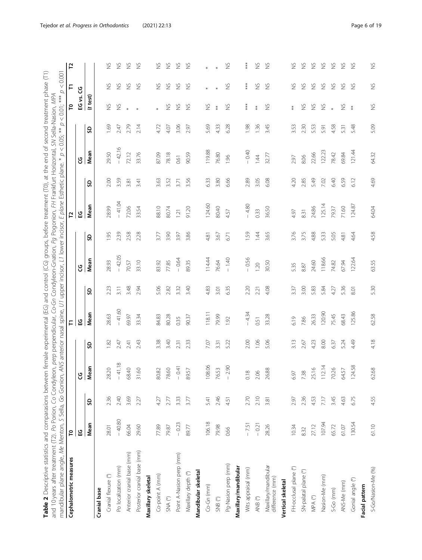<span id="page-5-0"></span>

| mandibular plane angle, Me Menton, S Sella, Go Gonion, ANS anterior nasal spine, U1 upper incisor, L1 lower incisor,<br>Cephalometric measures | ဥ        |      |          |      | F        |      |          |      | 7        |      |          |      | $\mathsf{P}$       | F             | 51            |
|------------------------------------------------------------------------------------------------------------------------------------------------|----------|------|----------|------|----------|------|----------|------|----------|------|----------|------|--------------------|---------------|---------------|
|                                                                                                                                                | ပ္ထ      |      | უ        |      | ပ္ယ      |      | ပ္ပ      |      | ပ္မ      |      | ყ        |      | EG vs.             | უ             |               |
|                                                                                                                                                | Mean     | SD   | Mean     | SD   | Mean     | SO   | Mean     | S    | Mean     | SD   | Mean     | S)   | $(t \text{ test})$ |               |               |
| Cranial base                                                                                                                                   |          |      |          |      |          |      |          |      |          |      |          |      |                    |               |               |
| Cranial flexure (°)                                                                                                                            | 28.01    | 2.36 | 28.20    | 1.82 | 28.63    | 2.23 | 28.93    | 1.95 | 28.99    | 2.00 | 29.50    | 1.69 | $\gtrapprox$       | $\frac{8}{2}$ | S             |
| Po localization (mm)                                                                                                                           | $-40.80$ | 2.40 | $-41.18$ | 2.47 | $-41,60$ | 3.11 | $-42.05$ | 2.39 | $-41.04$ | 3.59 | $-42.16$ | 2.47 | $\gtrapprox$       | $\gtrapprox$  | $\frac{5}{2}$ |
| Anterior cranial base (mm)                                                                                                                     | 66.04    | 3.69 | 58.40    | 2.41 | 69.97    | 3.48 | 70.57    | 2.58 | 72.06    | 3.81 | 72.12    | 2.79 |                    | $\gtrapprox$  | $\gtrapprox$  |
| Posterior cranial base (mm)                                                                                                                    | 29.60    | 2.27 | 31.60    | 2.43 | 33.34    | 2.94 | 33.10    | 2.28 | 33.54    | 3.41 | 33.76    | 2.14 |                    | $\gtrapprox$  | Š             |
| Maxillary skeletal                                                                                                                             |          |      |          |      |          |      |          |      |          |      |          |      |                    |               |               |
| Co-point A (mm)                                                                                                                                | 77.89    | 4.27 | 80.82    | 3.38 | 84.83    | 5.06 | 83.92    | 3.77 | 88.10    | 3.63 | 87.09    | 4.72 |                    | $\gtrapprox$  | $\gtrapprox$  |
| $\mathsf{SNA}\ \mathsf{(}^{\mathsf{o}}\!\mathsf{)}$                                                                                            | 79.87    | 2.77 | 78.60    | 3.40 | 80.28    | 2.82 | 77.85    | 3.90 | 80.74    | 3.52 | 78.18    | 4.07 | $\gtrapprox$       | $\gtrapprox$  | $\frac{5}{2}$ |
| Point A-Nasion perp (mm)                                                                                                                       | $-0.23$  | 3.33 | $-0.41$  | 2.31 | 0.35     | 3.32 | $-0.64$  | 3.97 | 121      | 3.71 | 0.61     | 3.06 | $\gtrapprox$       | $\gtrapprox$  | $\gtrapprox$  |
| Maxillary depth (°)                                                                                                                            | 89.77    | 3.77 | 89.57    | 2.33 | 90.37    | 3.40 | 89.35    | 3.86 | 91.20    | 3.56 | 90.59    | 2.97 | $\gtrapprox$       | $\frac{5}{2}$ | $\frac{5}{2}$ |
| Mandibular skeletal                                                                                                                            |          |      |          |      |          |      |          |      |          |      |          |      |                    |               |               |
| Co-Gn (mm)                                                                                                                                     | 106.18   | 5.41 | 08.06    | 7.07 | 118.11   | 4.83 | 114.44   | 4.81 | 124.60   | 6.33 | 119.88   | 5.69 | $\gtrapprox$       |               |               |
| SNB $(^\circ)$                                                                                                                                 | 79.98    | 2.46 | 76.53    | 3.31 | 79.99    | 3.01 | 76.64    | 3.67 | 80.40    | 3.80 | 76.80    | 433  | $\ddot{*}$         |               |               |
| Pg-Nasion perp (mm)                                                                                                                            | 0.66     | 4.51 | $-2.90$  | 5.22 | 1.92     | 6.35 | $-1.40$  | 6.71 | 4.57     | 6.66 | 1.96     | 6.28 | $\gtrapprox$       | $\frac{8}{2}$ | Š             |
| Maxillary/mandibular                                                                                                                           |          |      |          |      |          |      |          |      |          |      |          |      |                    |               |               |
| Wits appraisal (mm)                                                                                                                            | $-7.51$  | 2.70 | 0.18     | 2.00 | $-4.34$  | 2.20 | $-0.56$  | 1.59 | $-4.80$  | 2.89 | $-0.40$  | 1.98 | $***$              | $***$         | î             |
| ANB (°)                                                                                                                                        | $-0.21$  | 2.10 | 2.06     | 1.06 | 0.51     | 2.21 | 1.20     | 1.44 | 0.33     | 3.05 | 14       | 1.36 | $\stackrel{*}{*}$  | $\gtrapprox$  | $\frac{5}{2}$ |
| Maxillary/mandibular<br>difference (mm)                                                                                                        | 28.26    | 3.81 | 26.88    | 5.06 | 33.28    | 4.08 | 30.50    | 3.65 | 36.50    | 6.08 | 32.77    | 3.45 | $\gtrapprox$       | $\gtrapprox$  | $\frac{5}{2}$ |
| Vertical skeletal                                                                                                                              |          |      |          |      |          |      |          |      |          |      |          |      |                    |               |               |
| FH-occlusal plane (°)                                                                                                                          | 10.34    | 2.97 | 6.97     | 3.13 | 6.19     | 3.37 | 5.35     | 3.76 | 4.97     | 4.20 | 2.97     | 3.53 | $^{*}_{*}$         | S             | 2             |
| SN-palatal plane (°)                                                                                                                           | 832      | 2.36 | 7.38     | 2.67 | 7.86     | 3.00 | 8.87     | 3.75 | 8.31     | 2.85 | 8.06     | 2.30 | $\gtrapprox$       | $\gtrapprox$  | $\frac{5}{2}$ |
| $\ensuremath{\mathsf{MPA}}$<br>$(^\circ\!\!)$                                                                                                  | 27.12    | 4.53 | 25.16    | 4.23 | 26.33    | 5.83 | 24.60    | 4.88 | 24.86    | 5.49 | 22.66    | 5.53 | $\gtrapprox$       | $\gtrapprox$  | $\gtrapprox$  |
| Nasion-Me (mm)                                                                                                                                 | 107.94   | 7.17 | 112.14   | 8.00 | 120.90   | 5.84 | 118.66   | 5.33 | 125.14   | 7.02 | 122.23   | 5.91 | $\gtrapprox$       | $\gtrapprox$  | $\frac{5}{2}$ |
| S-Go (mm)                                                                                                                                      | 65.72    | 3.45 | 70.26    | 6.37 | 75.45    | 4.27 | 74.82    | 5.05 | 79.37    | 6.40 | 78.42    | 4.58 |                    | $\gtrapprox$  | $\gtrapprox$  |
| ANS-Me (mm)                                                                                                                                    | 61.07    | 4.63 | 64.57    | 5.24 | 68.43    | 5.36 | 67.94    | 4.81 | 71.60    | 6.59 | 69.84    | 5.31 | $\gtrapprox$       | $\gtrapprox$  | $\gtrapprox$  |
| Gonial angle (°)                                                                                                                               | 130.54   | 6.75 | 24.58    | 4.49 | 125.86   | 8.01 | 122.64   | 4.64 | 124.87   | 6.12 | 121.44   | 5.48 | $\ddagger$         | $\gtrapprox$  | $\frac{5}{2}$ |
| Facial pattern                                                                                                                                 |          |      |          |      |          |      |          |      |          |      |          |      |                    |               |               |
| S-Go/Nasion-Me (%)                                                                                                                             | 61.10    | 4.55 | 52.68    | 4.18 | 62.58    | 5.30 | 63.55    | 458  | 64.04    | 4.69 | 64.32    | 5.09 | $\gtrapprox$       | $\frac{8}{2}$ | $\gtrapprox$  |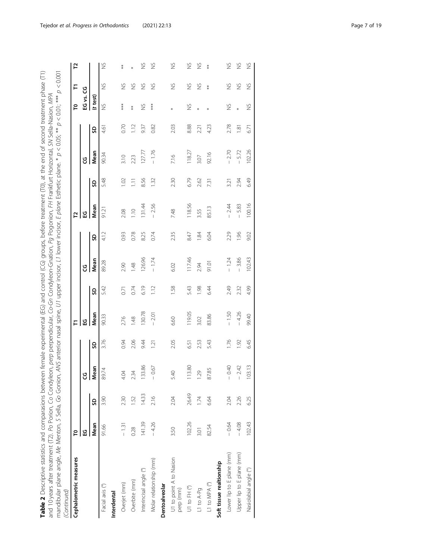$0.001$ Table 2 Descriptive statistics and comparasions between female experimental (EG) and control (CG) groups, before treatment (T0), at the end of second treatment phase (T1) **Table 2** Descriptive statistics and comparasions between female experimental (EG) and control (CG) groups, before treatment (T0), at the end of second treatment phase (T1) mandibular plane angle, Me Menton, S Sella, Go Gonion, ANS anterior nasal spine, U1 upper incisor, L1 lower incisor, E plane Esthetic plane. \* p < 0.05; \*\* p < 0.001 and 10 years after treatment (T2). Po Porion, Co Condyleon, perp perpendicular, Co-Gn Condyleon-Gnation, Pg Pogonion, FH Frankfurt Horizontal, SN Sella-Nasion, MPA<br>mandibular plane andle Me Menton S Sella Co Conion ANS ant and 10 years after treatment (T2). Po Porion, Co Condyleon, perp perpendicular, Co-Gn Condyleon-Gnation, Pg Pogonion, FH Frankfurt Horizontal, SN Sella-Nasion, MPA

| Cephalometric measures               | P           |       |                     |                  | F       |      |              |      | <b>Z</b> |                |         |                | P             | F             | 5             |
|--------------------------------------|-------------|-------|---------------------|------------------|---------|------|--------------|------|----------|----------------|---------|----------------|---------------|---------------|---------------|
|                                      | ្អូ         |       | ყ                   |                  | ្អូ     |      | ყ            |      | 오        |                | ყ       |                | EG vs.        | ყ             |               |
|                                      | <b>Mean</b> | SD    | Mean                | SD               | Mean    | SD   | Mean         | SD   | Mean     | G              | Mean    | S              | (t test)      |               |               |
| Facial axis (°)                      | 91.66       | 3.90  | 89.74               | 3.76             | 90.33   | 5.42 | 89.28        | 4.12 | 91.21    | 5.48           | 90.34   | 4.61           | $\frac{8}{2}$ | ž             | $\frac{5}{2}$ |
| Interdental                          |             |       |                     |                  |         |      |              |      |          |                |         |                |               |               |               |
| Overjet (mm)                         | $-131$      | 2.30  | Ś                   | 0.94             | 2.76    | 0.71 | 2.90         | 0.93 | 2.08     | $\overline{5}$ | 3.10    | 0.70           | $**$          | $\gtrapprox$  | 莱米            |
| Overbite (mm)                        | 0.28        | 1.52  | $\ddot{3}$          | 2.06             | 1.48    | 0.74 | 1.48         | 0.78 | 1.10     | $\Xi$          | 2.23    | 112            | $\ast$        | $\frac{5}{2}$ |               |
| Interincisal angle (°)               | 141.39      | 14.33 | 33.86               | 9.44             | 130.78  | 6.19 | 126.96       | 8.25 | 131.44   | 8.56           | 127.77  | 9.37           | $\frac{8}{2}$ | $\frac{6}{2}$ | $\frac{5}{2}$ |
| Molar relationship (mm)              | $-4.26$     | 2.16  | $-0.67$             | $\overline{121}$ | $-2.01$ | 1.12 | $-1.74$      | 0.74 | $-2.56$  | 132            | $-1.76$ | 0.82           | ***           | $\frac{8}{2}$ | S             |
| Dentoalveolar                        |             |       |                     |                  |         |      |              |      |          |                |         |                |               |               |               |
| U1 to point A to Nasion<br>perp (mm) | 3.50        | 2.04  | $\overline{4}$<br>Щ | 2.05             | 6.60    | 1.58 | 6.02         | 235  | 7.48     | 2.30           | 7.16    | 2.03           |               | $\frac{8}{2}$ | $\frac{5}{2}$ |
| U1 to FH (°)                         | 102.26      | 26.49 | 13.80               | 6.51             | 119.05  | 5.43 | 117.46       | 8.47 | 118.56   | 6.79           | 118.27  | 888            | $\frac{8}{2}$ | $\gtrapprox$  | $\frac{5}{2}$ |
| L1 to A-Pg                           | 3.01        | 1.74  | 29                  | 2.53             | 3.02    | 1.98 | 2.94         | 1.84 | 3.55     | 2.62           | 3.07    | 221            |               | $\frac{6}{2}$ | $\frac{5}{2}$ |
| L1 to MPA (°)                        | 82.54       | 6.64  | 87.85               | 5.43             | 83.86   | 6.44 | <b>10.16</b> | 6.04 | 85.13    | 731            | 92.16   | 4.23           |               | $*$           | $*$           |
| Soft tissue realtionship             |             |       |                     |                  |         |      |              |      |          |                |         |                |               |               |               |
| Lower lip to E plane (mm)            | $-0.64$     | 2.04  | 0.40                | 1.76             | $-1.50$ | 2.49 | $-1.24$      | 2.29 | 2.44     | 3.21           | 2.70    | 2.78           | $\frac{8}{2}$ | S             | $\frac{5}{2}$ |
| Upper lip to E plane (mm)            | $-4.08$     | 2.26  | 2.42                | 1.92             | $-4.26$ | 2.32 | $-3.86$      | 1.96 | 5.83     | 2.94           | 5.72    | $\overline{8}$ |               | $\frac{5}{2}$ | $\frac{5}{2}$ |
| Nasiolabial angle (°)                | 102.43      | 6.25  | 103.13              | 6.45             | 99.40   | 4.99 | 102.43       | 9.02 | 100.16   | 6.49           | 102.26  | 6.71           | $\frac{8}{2}$ | $\frac{8}{2}$ | S             |
|                                      |             |       |                     |                  |         |      |              |      |          |                |         |                |               |               |               |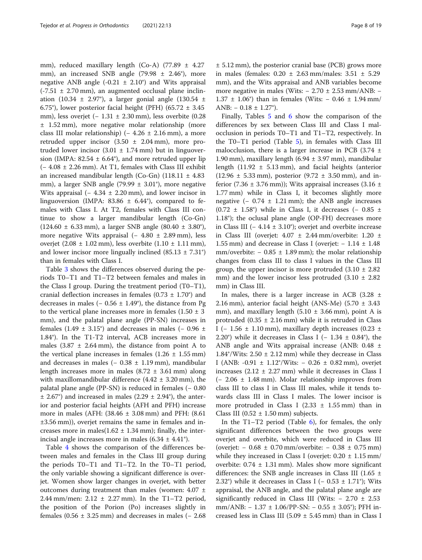mm), reduced maxillary length (Co-A) (77.89 ± 4.27 mm), an increased SNB angle  $(79.98 \pm 2.46^{\circ})$ , more negative ANB angle  $(-0.21 \pm 2.10^{\circ})$  and Wits appraisal  $(-7.51 \pm 2.70 \text{ mm})$ , an augmented occlusal plane inclination (10.34  $\pm$  2.97°), a larger gonial angle (130.54  $\pm$ 6.75°), lower posterior facial height (PFH) (65.72  $\pm$  3.45 mm), less overjet (− 1.31 ± 2.30 mm), less overbite (0.28 ± 1.52 mm), more negative molar relationship (more class III molar relationship) ( $-4.26 \pm 2.16$  mm), a more retruded upper incisor  $(3.50 \pm 2.04 \text{ mm})$ , more protruded lower incisor  $(3.01 \pm 1.74 \text{ mm})$  but in linguoversion (IMPA:  $82.54 \pm 6.64^{\circ}$ ), and more retruded upper lip (− 4.08 ± 2.26 mm). At T1, females with Class III exhibit an increased mandibular length (Co-Gn)  $(118.11 \pm 4.83)$ mm), a larger SNB angle (79.99  $\pm$  3.01°), more negative Wits appraisal ( $-4.34 \pm 2.20$  mm), and lower incisor in linguoversion (IMPA: 83.86  $\pm$  6.44°), compared to females with Class I. At T2, females with Class III continue to show a larger mandibular length (Co-Gn) (124.60 ± 6.33 mm), a larger SNB angle (80.40 ± 3.80°), more negative Wits appraisal (− 4.80 ± 2.89 mm), less overjet (2.08  $\pm$  1.02 mm), less overbite (1.10  $\pm$  1.11 mm), and lower incisor more lingually inclined  $(85.13 \pm 7.31^{\circ})$ than in females with Class I.

Table [3](#page-8-0) shows the differences observed during the periods T0–T1 and T1–T2 between females and males in the Class I group. During the treatment period (T0–T1), cranial deflection increases in females  $(0.73 \pm 1.70^{\circ})$  and decreases in males (–  $0.56 \pm 1.49^{\circ}$ ), the distance from Pg to the vertical plane increases more in females  $(1.50 \pm 3)$ mm), and the palatal plane angle (PP-SN) increases in females (1.49  $\pm$  3.15°) and decreases in males (– 0.96  $\pm$ 1.84°). In the T1-T2 interval, ACB increases more in males  $(3.87 \pm 2.64 \text{ mm})$ , the distance from point A to the vertical plane increases in females  $(1.26 \pm 1.55 \text{ mm})$ and decreases in males (− 0.38 ± 1.19 mm), mandibular length increases more in males  $(8.72 \pm 3.61 \text{ mm})$  along with maxillomandibular difference  $(4.42 \pm 3.20 \text{ mm})$ , the palatal plane angle (PP-SN) is reduced in females (− 0.80  $\pm$  2.67°) and increased in males (2.29  $\pm$  2.94°), the anterior and posterior facial heights (AFH and PFH) increase more in males (AFH: (38.46 ± 3.08 mm) and PFH: (8.61 ±3.56 mm)), overjet remains the same in females and increases more in males( $1.62 \pm 1.34$  mm); finally, the interincisal angle increases more in males  $(6.34 \pm 4.41^{\circ})$ .

Table [4](#page-10-0) shows the comparison of the differences between males and females in the Class III group during the periods T0–T1 and T1–T2. In the T0–T1 period, the only variable showing a significant difference is overjet. Women show larger changes in overjet, with better outcomes during treatment than males (women:  $4.07 \pm$ 2.44 mm/men:  $2.12 \pm 2.27$  mm). In the T1-T2 period, the position of the Porion (Po) increases slightly in females  $(0.56 \pm 3.25 \text{ mm})$  and decreases in males  $(-2.68$ 

Finally, Tables [5](#page-12-0) and [6](#page-14-0) show the comparison of the differences by sex between Class III and Class I malocclusion in periods T0–T1 and T1–T2, respectively. In the T0–T1 period (Table [5](#page-12-0)), in females with Class III malocclusion, there is a larger increase in PCB  $(3.74 \pm$ 1.90 mm), maxillary length  $(6.94 \pm 3.97 \text{ mm})$ , mandibular length  $(11.92 \pm 5.13 \text{ mm})$ , and facial heights (anterior  $(12.96 \pm 5.33 \text{ mm})$ , posterior  $(9.72 \pm 3.50 \text{ mm})$ , and inferior (7.36  $\pm$  3.76 mm)); Wits appraisal increases (3.16  $\pm$ 1.77 mm) while in Class I, it becomes slightly more negative  $(-0.74 \pm 1.21 \text{ mm})$ ; the ANB angle increases (0.72 ± 1.58°) while in Class I, it decreases (- 0.85 ± 1.18°); the oclusal plane angle (OP-FH) decreases more in Class III ( $-4.14 \pm 3.10^{\circ}$ ); overjet and overbite increase in Class III (overjet:  $4.07 \pm 2.44$  mm/overbite:  $1.20 \pm 1.20$ 1.55 mm) and decrease in Class I (overjet:  $-1.14 \pm 1.48$ mm/overbite:  $-0.85 \pm 1.89$  mm); the molar relationship changes from class III to class I values in the Class III group, the upper incisor is more protruded  $(3.10 \pm 2.82)$ mm) and the lower incisor less protruded  $(3.10 \pm 2.82)$ mm) in Class III.

In males, there is a larger increase in ACB  $(3.28 \pm$ 2.16 mm), anterior facial height (ANS-Me) (5.70  $\pm$  3.43 mm), and maxillary length  $(5.10 \pm 3.66 \text{ mm})$ , point A is protruded  $(0.35 \pm 2.16 \text{ mm})$  while it is retruded in Class I (− 1.56  $\pm$  1.10 mm), maxillary depth increases (0.23  $\pm$ 2.20°) while it decreases in Class I ( $-1.34 \pm 0.84$ °), the ANB angle and Wits appraisal increase (ANB: 0.48 ± 1.84 $\degree$ /Wits: 2.50  $\pm$  2.12 mm) while they decrease in Class I (ANB: -0.91 ± 1.12°/Wits: − 0.26 ± 0.82 mm), overjet increases  $(2.12 \pm 2.27 \text{ mm})$  while it decreases in Class I (− 2.06 ± 1.48 mm). Molar relationship improves from class III to class I in Class III males, while it tends towards class III in Class I males. The lower incisor is more protruded in Class I (2.33  $\pm$  1.55 mm) than in Class III ( $0.52 \pm 1.50$  mm) subjects.

In the  $T1-T2$  period (Table [6\)](#page-14-0), for females, the only significant differences between the two groups were overjet and overbite, which were reduced in Class III (overjet: − 0.68 ± 0.70 mm/overbite: − 0.38 ± 0.75 mm) while they increased in Class I (overjet:  $0.20 \pm 1.15$  mm/ overbite:  $0.74 \pm 1.31$  mm). Males show more significant differences: the SNB angle increases in Class III (1.65  $\pm$ 2.32°) while it decreases in Class I ( $-$  0.53  $\pm$  1.71°); Wits appraisal, the ANB angle, and the palatal plane angle are significantly reduced in Class III (Wits:  $-2.70 \pm 2.53$ mm/ANB: − 1.37 ± 1.06/PP-SN: − 0.55 ± 3.05°); PFH increased less in Class III (5.09  $\pm$  5.45 mm) than in Class I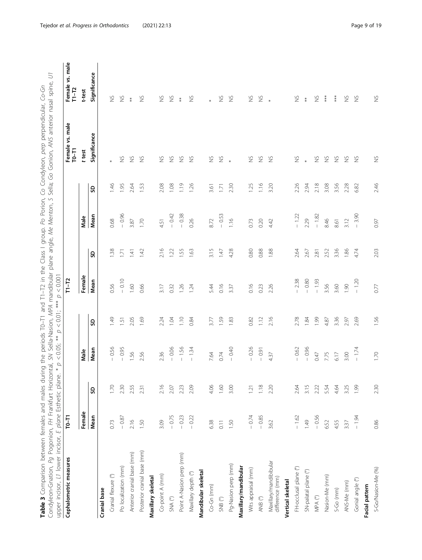Table 3 Comparison between females and males during the periods T0–T1 and T1–T2 in the Class I group. Po Porion, Co Condyleon, *perp* perpendicular, Co-Gn<br>Condyleon-Gnation, Pg Pogonion, FH Frankfurt Horizontal, SM Sella-N Condyleon-Gnation, Pg Pogonion, FH Frankfurt Horizontal, SN Sella-Nasion, MPA mandibular plane angle, Me Menton, S Sella; Go Gonion, ANS anterior nasal spine, U1 Table 3 Comparison between females and males and males during the periods T1–T2 in the Class I group. Po Porion, Co Condyleon, perpendicular, Co-Gn

<span id="page-8-0"></span>

| upper incisor, L1 lower incisor, E plane Esthetic plan |           |                  |         |      |           |                 |                                  |                |                          |                          |
|--------------------------------------------------------|-----------|------------------|---------|------|-----------|-----------------|----------------------------------|----------------|--------------------------|--------------------------|
| Cephalometric measures                                 | $T0 - T1$ |                  |         |      | $T1 - T2$ |                 |                                  |                | Female vs. male<br>T0-T1 | Female vs. male<br>T1-T2 |
|                                                        | Female    |                  | Male    |      | Female    |                 | Male                             |                | t test                   | t-test                   |
|                                                        | Mean      | S)               | Mean    | S)   | Mean      | <u>ទ</u>        | Mean                             | S              | Significance             | Significance             |
| Cranial base                                           |           |                  |         |      |           |                 |                                  |                |                          |                          |
| Cranial flexure (°)                                    | 0.73      | 1.70             | 0.56    | 1.49 | 0.56      | $\frac{38}{2}$  | 0.68                             | 1.46           |                          | $\gtrapprox$             |
| Po localization (mm)                                   | $-0.87$   | 2.30             | $-0.95$ | 1.51 | $-0.10$   | $\overline{17}$ | $-0.96$                          | 1.95           | S                        | $\frac{6}{2}$            |
| Anterior cranial base (mm)                             | 2.16      | 2.55             | 1.56    | 2.05 | 1.60      | 141             | 3.87                             | 2.64           | $\gtrapprox$             | ŧ                        |
| Posterior cranial base (mm)                            | 1.50      | 2.31             | 256     | 1.69 | 0.66      | 1.42            | 1.70                             | 1.53           | $\gtrapprox$             | $\gtrapprox$             |
| Maxillary skeletal                                     |           |                  |         |      |           |                 |                                  |                |                          |                          |
| Co-point A (mm)                                        | 3.09      | 2.16             | 236     | 2.24 | 3.17      | 2.16            | 4.51                             | 2.08           | $\gtrapprox$             | $\gtrapprox$             |
| $\mathsf{SNA}\ \mathsf{(}^\circ\!\!\!)$                | $-0.75$   | 2.07             | $-0.06$ | 1.04 | 0.32      | 1.22            | $-0.42$                          | 1.08           | $\gtrapprox$             | $\gtrapprox$             |
| Point A-Nasion perp (mm)                               | $-0.23$   | 2.23             | $-1.56$ | 1.10 | 1.26      | $-55$           | $-0.38$                          | $\frac{6}{11}$ | $\gtrapprox$             | $\ddot{x}$               |
| Maxillary depth (°)                                    | $-0.22$   | 2.09             | $-1.34$ | 0.84 | 1.24      | 1.63            | 0.26                             | 1.26           | $\frac{5}{2}$            | $\gtrapprox$             |
| Mandibular skeletal                                    |           |                  |         |      |           |                 |                                  |                |                          |                          |
| Co-Gn (mm)                                             | 6.38      | 4.06             | 7.64    | 3.77 | 5.44      | 3.15            | 8.72                             | 3.61           | $\gtrapprox$             |                          |
| SNB $(^\circ)$                                         | 0.11      | 1.60             | 0.74    | 1.59 | 0.16      | $147$           | $-0.53$                          | 1.71           | $\geq$                   | $\frac{8}{2}$            |
| Pg-Nasion perp (mm)                                    | 1.50      | 3.00             | $-0.40$ | 1.83 | 3.37      | 4.28            | 1.16                             | 2.30           |                          | $\gtrapprox$             |
| Maxillary/mandibular                                   |           |                  |         |      |           |                 |                                  |                |                          |                          |
| Wits appraisal (mm)                                    | $-0.74$   | $\overline{121}$ | $-0.26$ | 0.82 | 0.16      | 0.80            | 0.73                             | 1.25           | $\gtrapprox$             | $\gtrapprox$             |
| ANB $(^\circ\!)$                                       | $-0.85$   | 1.18             | $-0.91$ | 1.12 | 0.23      | 0.88            | 0.20                             | 1.16           | $\gtrapprox$             | $\gtrapprox$             |
| Maxillary/mandibibular<br>difference (mm)              | 3.62      | 2.20             | 437     | 2.16 | 2.26      | 1.88            | 4.42                             | 3.20           | $\gtrapprox$             |                          |
| Vertical skeletal                                      |           |                  |         |      |           |                 |                                  |                |                          |                          |
| FH-occlusal plane (°)                                  | $-1.62$   | 2.64             | $-0.62$ | 2.78 | $-2.38$   | 2.64            | $-1.22$                          | 2.26           | $\gtrapprox$             | $\gtrapprox$             |
| SN-palatal plane (°)                                   | 1.49      | 3.15             | $-0.96$ | 1.84 | $-0.80$   | 2.67            | 2.29                             | 2.94           |                          | $\ddagger$               |
| $\ensuremath{\mathsf{MPA}}$<br>$(^\circ\!)$            | $-0.56$   | 2.22             | 0.47    | 1.99 | $-1.93$   | 2.81            | $-1.82$                          | 2.18           | $\gtrapprox$             | $\gtrapprox$             |
| Nasion-Me (mm)                                         | 6.52      | 5.54             | 7.75    | 4.87 | 3.56      | 2.52            | 8.46                             | 3.08           | $\gtrapprox$             | $***$                    |
| S-Go (mm)                                              | 4.55      | 4.64             | 6.17    | 3.36 | 3.60      | 3.36            | 8.61                             | 3.56           | $\frac{\varsigma}{2}$    | $***$                    |
| ANS-Me (mm)                                            | 3.37      | 3.25             | 3.00    | 2.97 | 1.90      | 1.86            | 3.12                             | 2.28           | $\gtrapprox$             | $\gtrapprox$             |
| Gonial angle (°)                                       | $-1.94$   | 1.99             | $-1.74$ | 2.69 | $-1.20$   | 4.74            | 3.90<br>$\overline{\phantom{a}}$ | 6.82           | $\gtrapprox$             | $\gtrapprox$             |
| Facial pattern                                         |           |                  |         |      |           |                 |                                  |                |                          |                          |
| S-Go/Nasion-Me (%)                                     | 0.86      | 2.30             | 1.70    | 1.56 | 0.77      | 2.03            | 0.97                             | 2.46           | $\gtrapprox$             | $\gtrapprox$             |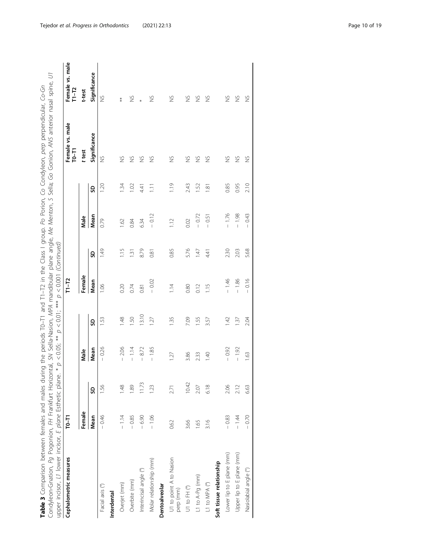| ales during the periods T0-T1 and T1-T2 in the Class I group. Po Porion, Co Condyleon, perp perpendicular, Co-Gn | Horizontal, SN Sella-Nasion, <i>MPA</i> mandibular plane angle, Me Menton, S Sella; Go Gonion, ANS anterior nasal spine, <i>UT</i> |                                                                     |  |
|------------------------------------------------------------------------------------------------------------------|------------------------------------------------------------------------------------------------------------------------------------|---------------------------------------------------------------------|--|
|                                                                                                                  |                                                                                                                                    | c plane. * $p < 0.05$ ; ** $p < 0.01$ ; *** $p < 0.001$ (Continued) |  |
|                                                                                                                  |                                                                                                                                    |                                                                     |  |
|                                                                                                                  |                                                                                                                                    |                                                                     |  |
|                                                                                                                  |                                                                                                                                    |                                                                     |  |
|                                                                                                                  |                                                                                                                                    |                                                                     |  |
| males and mai                                                                                                    | ondulenciation <i>Po</i> Pogonion <i>FH</i> Eranbi.                                                                                | oper incisor, $L1$ lower incisor, $\pm$ plane Estheti               |  |
| etween ter                                                                                                       |                                                                                                                                    |                                                                     |  |
| ble 3 Comparison bet                                                                                             |                                                                                                                                    |                                                                     |  |
|                                                                                                                  |                                                                                                                                    |                                                                     |  |

| Cephalometric measures               | $T0-T1$ |               |                |             | $T1 - T2$     |                  |         |       | Female vs. male<br>$T0-T1$ | Female vs. male<br>$T1-T2$ |
|--------------------------------------|---------|---------------|----------------|-------------|---------------|------------------|---------|-------|----------------------------|----------------------------|
|                                      | Female  |               | Male           |             | Female        |                  | Male    |       | t test                     | t-test                     |
|                                      | Mean    | g             | Mean           | SD          | Mean          | SD               | Mean    | SD    | Significance               | Significance               |
| Facial axis (°)                      | $-0.46$ | $\frac{8}{5}$ | $-0.26$        | 1.53        | 1.06          | 1.49             | 0.79    | 1.20  | $\frac{5}{2}$              | $\frac{8}{2}$              |
| Interdental                          |         |               |                |             |               |                  |         |       |                            |                            |
| Overjet (mm)                         | $-1.14$ | 148           | $-2.06$        | 1.48        | 0.20          | 1.15             | 1.62    | 1.34  | $\frac{5}{2}$              | $*$                        |
| Overbite (mm)                        | $-0.85$ | 89.           | $-1.14$        | <b>1.50</b> | 0.74          | $\overline{131}$ | 0.84    | 1.02  | $\gtrapprox$               | $\frac{1}{2}$              |
| Interincisal angle (°)               | $-6.90$ | 11.73         | $-8.72$        | 13.10       | 0.81          | 8.79             | 6.34    | 4.41  | $\frac{5}{2}$              |                            |
| Molar relationship (mm)              | $-1.06$ | 23            | $-1.85$        | 1.27        | $-0.02$       | 0.81             | $-0.12$ | $\Xi$ | $\frac{5}{2}$              | $\frac{5}{2}$              |
| Dentoalveolar                        |         |               |                |             |               |                  |         |       |                            |                            |
| U1 to point A to Nasion<br>perp (mm) | 0.62    | 2.71          | 127            | 1.35        | $\frac{4}{1}$ | 0.85             | 112     | 1.19  | š                          | ž                          |
| U1 to FH (°)                         | 3.66    | 10.42         | 3.86           | 7.09        | 0.80          | 5.76             | 0.02    | 2.43  | $\frac{5}{2}$              | $\gtrapprox$               |
| L1 to A-Pg (mm)                      | 1.65    | 2.07          | 2.33           | 1.55        | 0.12          | 147              | $-0.72$ | 1.52  | $\frac{5}{2}$              | $\frac{5}{2}$              |
| L1 to MPA (°)                        | 3.16    | 6.18          | $\frac{40}{5}$ | 3.57        | 1.15          | 4.41             | $-0.51$ | 1.81  | $\frac{5}{2}$              | $\frac{8}{2}$              |
| Soft tissue relationship             |         |               |                |             |               |                  |         |       |                            |                            |
| Lower lip to E plane (mm)            | $-0.83$ | 2.06          | $-0.92$        | 1.42        | $-1.46$       | 2.30             | $-1.76$ | 0.85  | $\frac{5}{2}$              | $\frac{8}{2}$              |
| Upper lip to E plane (mm)            | $-1.44$ | 2.12          | $-1.92$        | 1.37        | $-1.86$       | 2.03             | $-1.98$ | 0.95  | $\gtrapprox$               | $\gtrapprox$               |
| Nasiolabial angle (°)                | $-0.70$ | 6.63          | 1.63           | 2.04        | $-0.16$       | 5.68             | 0.43    | 2.10  | š                          | $\frac{8}{2}$              |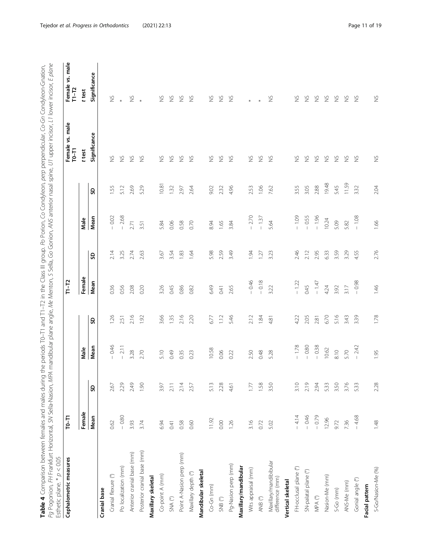<span id="page-10-0"></span>**Table 4** Comparison between females and males during the periods T0–T1 and T1–T2 in the Class III group. *Po* Porion, Co Condyleon, *per*p perpendicular, Co-Gn Condyleon-Gnation,<br>*Pg* Pogonion, FH Frankfurt Horizontal, SN Pg Pogonion, FH Frankfurt Horizontal, SN Sella-Nasion, MPA mandibular plane angle, Me Menton, S Sella, Go Gonion, ANS anterior nasal spine, U1 upper incisor, L1 lower incisor, E plane Table 4 Comparison between females and males and males and males are periods T0–T1 and T1–T2 in the Class III group. Po Porion, Co Condyleon, perp perpendicular, Co-Gn Condyleon-Gnation,

| Esthetic plane. $* p < 0.05$                        |           |      |         |      |         |      |         |             |                            |                              |
|-----------------------------------------------------|-----------|------|---------|------|---------|------|---------|-------------|----------------------------|------------------------------|
| Cephalometric measures                              | $T0 - T1$ |      |         |      | $T1-T2$ |      |         |             | Female vs. male<br>$T0-T1$ | Female vs. male<br>$T1 - T2$ |
|                                                     | Female    |      | Male    |      | Female  |      | Male    |             | t test                     | t test                       |
|                                                     | Mean      | S    | Mean    | S)   | Mean    | S)   | Mean    | S)          | Significance               | Significance                 |
| Cranial base                                        |           |      |         |      |         |      |         |             |                            |                              |
| Cranial flexure (°)                                 | 0.62      | 2.67 | 0.46    | 1.26 | 0.36    | 2.14 | $-0.02$ | <b>1.55</b> | $\gtrapprox$               | $\gtrapprox$                 |
| Po localization (mm)                                | $-0.80$   | 2.29 | $-2.11$ | 2.51 | 0.56    | 3.25 | $-2.68$ | 5.12        | $\gtrapprox$               | $\ast$                       |
| Anterior cranial base (mm)                          | 3.93      | 2.49 | 3.28    | 2.16 | 2.08    | 2.74 | 2.71    | 2.69        | $\gtrapprox$               | $\gtrapprox$                 |
| Posterior cranial base (mm)                         | 3.74      | 1.90 | 2.70    | 1.92 | 0.20    | 2.63 | 3.51    | 5.29        | $\frac{5}{2}$              | $\ast$                       |
| Maxillary skeletal                                  |           |      |         |      |         |      |         |             |                            |                              |
| Co-point A (mm)                                     | 6.94      | 3.97 | 5.10    | 3.66 | 3.26    | 3.67 | 5.84    | 10.81       | $\gtrapprox$               | $\gtrapprox$                 |
| $\mathsf{SNA}\ \mathsf{(}^{\mathsf{o}}\!\mathsf{)}$ | 0.41      | 2.11 | 0.49    | 1.35 | 0.45    | 3.54 | 0.06    | 132         | $\gtrapprox$               | $\gtrapprox$                 |
| Point A-Nasion perp (mm)                            | 0.58      | 2.14 | 0.35    | 2.16 | 0.86    | 1.83 | 0.58    | 2.97        | $\gtrapprox$               | $\frac{5}{2}$                |
| Maxillary depth (°)                                 | 0.60      | 2.57 | 0.23    | 2.20 | 0.82    | 1.64 | 0.70    | 2.64        | $\frac{5}{2}$              | $\gtrapprox$                 |
| Mandibular skeletal                                 |           |      |         |      |         |      |         |             |                            |                              |
| $Co-Gn$ (mm)                                        | 11.92     | 5.13 | 10.58   | 6.77 | 6.49    | 5.98 | 8.94    | 9.02        | $\gtrapprox$               | $\gtrapprox$                 |
| $\mathsf{SNB}\ (^\circ\!)$                          | 0.00      | 2.28 | 0.06    | 1.12 | 0.41    | 2.59 | 1.65    | 2.32        | $\frac{5}{2}$              | $\frac{5}{2}$                |
| Pg-Nasion perp (mm)                                 | 1.26      | 4.61 | 0.22    | 5.46 | 2.65    | 3.49 | 3.84    | 4.96        | $\frac{5}{2}$              | $\frac{8}{2}$                |
| Maxillary/mandibular                                |           |      |         |      |         |      |         |             |                            |                              |
| Wits appraisal (mm)                                 | 3.16      | 1.77 | 2.50    | 2.12 | $-0.46$ | 1.94 | $-2.70$ | 2.53        | $\gtrapprox$               | $\ast$                       |
| ANB (°)                                             | 0.72      | 1.58 | 0.48    | 1.84 | $-0.18$ | 127  | $-1.37$ | 1.06        | $\gtrapprox$               |                              |
| Maxillary/mandibibular<br>difference (mm)           | 5.02      | 3.50 | 5.28    | 4.81 | 3.22    | 3.23 | 5.64    | 7.62        | $\frac{5}{2}$              | $\gtrapprox$                 |
| Vertical skeletal                                   |           |      |         |      |         |      |         |             |                            |                              |
| FH-occlusal plane (°)                               | $-4.14$   | 3.10 | $-1.78$ | 4.22 | $-1.22$ | 2.46 | $-1.09$ | 3.55        | $\gtrapprox$               | $\gtrapprox$                 |
| SN-palatal plane (°)                                | $-0.46$   | 2.19 | 0.80    | 2.05 | 0.45    | 2.12 | $-0.55$ | 3.05        | $\frac{5}{2}$              | $\frac{\sqrt{2}}{2}$         |
| $\ensuremath{\mathsf{MPA}}$<br>$(^\circ)$           | $-0.79$   | 2.94 | $-0.38$ | 2.81 | $-1.47$ | 2.95 | $-1.96$ | 2.88        | $\frac{5}{2}$              | $\frac{5}{2}$                |
| Nasion-Me (mm)                                      | 12.96     | 5.33 | 10.62   | 6.70 | 4.24    | 6.33 | 10.24   | 19.48       | $\gtrapprox$               | $\frac{8}{2}$                |
| $S-Go$ (mm)                                         | 9.72      | 3.50 | 8.10    | 5.16 | 3.92    | 3.59 | 5.09    | 5.45        | $\gtrapprox$               | $\gtrapprox$                 |
| ANS-Me (mm)                                         | 7.36      | 3.76 | 5.70    | 3.43 | 3.17    | 3.29 | 5.82    | 11.59       | $\gtrapprox$               | $\gtrapprox$                 |
| Gonial angle (°)                                    | $-4,68$   | 5.33 | $-2.42$ | 3.39 | $-0.98$ | 4.55 | $-1.08$ | 3.32        | $\frac{\varsigma}{2}$      | $\frac{\sqrt{2}}{2}$         |
| Facial pattern                                      |           |      |         |      |         |      |         |             |                            |                              |
| S-Go/Nasion-Me (%)                                  | 1.48      | 2.28 | 1.95    | 1.78 | 1.46    | 2.76 | 1.66    | 2.04        | $\gtrapprox$               | $\gtrapprox$                 |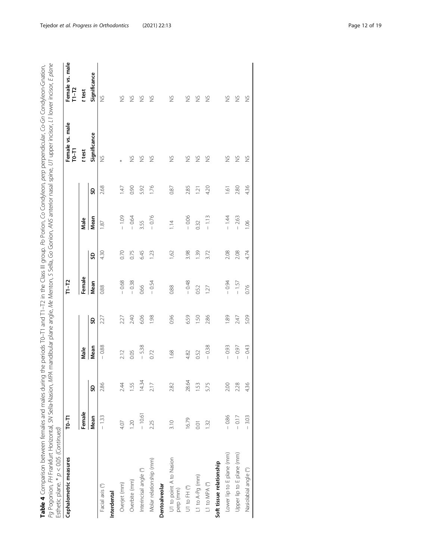**Table 4** Comparison between females and males during the periods T0–T1 and T1–T2 in the Class III group. Po Porion, Co Condyleon, *perp* perpendicular, Co-Gn Condyleon-Gnation,<br>*Pg* Pogonion, FH Frankfurt Horizontal, SN S Pg Pogonion, FH Frankfurt Horizontal, SN Sella-Nasion, MPA mandibular plane angle, Me Menton, S Sella, Go Gonion, ANS anterior nasal spine, U1 upper incisor, L1 lower incisor, E plane Table 4 Comparison between females and males and males and males are periods T0–T1 and T1–T2 in the Class III group. Po Porion, Co Condyleon, perp perpendicular, Co-Gn Condyleon-Gnation,

| Cephalometric measures               | $T0-T1$  |       |         |                 | $T1 - T2$ |      |         |                 | Female vs. male<br>$T0 - T1$ | Female vs. male<br>$T1 - T2$ |
|--------------------------------------|----------|-------|---------|-----------------|-----------|------|---------|-----------------|------------------------------|------------------------------|
|                                      | Female   |       | Male    |                 | Female    |      | Male    |                 | t test                       | t test                       |
|                                      | Mean     | SD    | Mean    | SD              | Mean      | SD   | Mean    | GS              | Significance                 | Significance                 |
| Facial axis (°)                      | $-1.33$  | 2.86  | $-0.88$ | 2.27            | 0.88      | 4.30 | 1.87    | 2.68            | $\frac{5}{2}$                | $\frac{5}{2}$                |
| Interdental                          |          |       |         |                 |           |      |         |                 |                              |                              |
| Overjet (mm)                         | 4.07     | 2.44  | 2.12    | 2.27            | $-0.68$   | 0.70 | $-1.09$ | 147             |                              | $\frac{8}{2}$                |
| Overbite (mm)                        | 1.20     | 1.55  | 0.05    | 2.40            | $-0.38$   | 0.75 | $-0.64$ | 0.90            | $\frac{5}{2}$                | $\gtrapprox$                 |
| Interincisal angle (°)               | $-10.61$ | 14.34 | $-5.38$ | 6.06            | 0.66      | 6.45 | 3.55    | 5.92            | $\frac{5}{2}$                | $\frac{5}{2}$                |
| Molar relationship (mm)              | 2.25     | 2.17  | 0.72    | 1.98            | $-0.54$   | 1.23 | $-0.76$ | 1.76            | $\frac{5}{2}$                | S                            |
| Dentoalveolar                        |          |       |         |                 |           |      |         |                 |                              |                              |
| U1 to point A to Nasion<br>perp (mm) | 3.10     | 2.82  | 1.68    | 0.96            | 0.88      | 1,62 | 1.14    | 0.87            | $\frac{5}{2}$                | $\frac{5}{2}$                |
| U1 to FH (°)                         | 16.79    | 28.64 | 4.82    | 6.59            | $-0.48$   | 3.98 | $-0.06$ | 2.85            | $\frac{5}{2}$                | $\gtrapprox$                 |
| L1 to A-Pg (mm)                      | 0.01     | 1.53  | 0.52    | 50 <sub>1</sub> | 0.52      | 1.39 | 0.32    | $\overline{2}$  | Š                            | $\frac{8}{2}$                |
| L1 to MPA (°)                        | 1.32     | 5.75  | $-0.38$ | 2.86            | 127       | 3.72 | $-1.13$ | 4.20            | $\frac{5}{2}$                | S                            |
| Soft tissue relationship             |          |       |         |                 |           |      |         |                 |                              |                              |
| Lower lip to E plane (mm)            | $-0.86$  | 2.00  | 0.93    | 1.89            | $-0.94$   | 2.08 | $-1.44$ | $\overline{61}$ | Š                            | ž                            |
| Upper lip to E plane (mm)            | $-0.17$  | 2.28  | $-0.97$ | 2.47            | $-1.57$   | 2.08 | $-2.63$ | 2.80            | $\frac{5}{2}$                | $\frac{8}{2}$                |
| Nasiolabial angle (°)                | $-3.03$  | 4.36  | 0.43    | 5.09            | 0.76      | 4.74 | 0.06    | 4.36            | $\frac{5}{2}$                | $\gtrapprox$                 |
|                                      |          |       |         |                 |           |      |         |                 |                              |                              |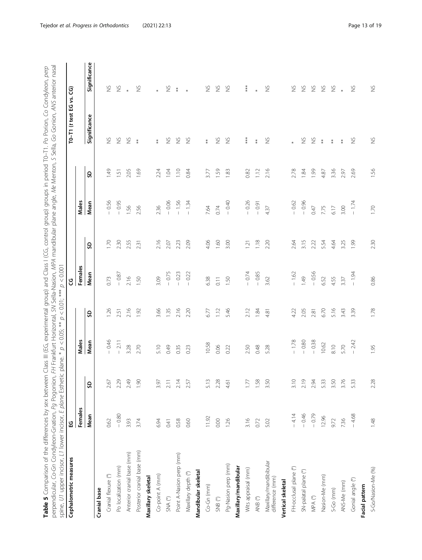<span id="page-12-0"></span>perpendicular, Co-Gn Condyleon-Gnation, Pg Pogonion, FH Frankfurt Horizontal, SN Sella-Nasion, MPA mandibular plane angle, Me Menton, S Sella, Go Gonion, ANS anterior nasal Table 5 Comparison of the differences by sex between Class III (EG, experimental group) and Class I (CG, control group) groups in period T0-T1. Po Porion, Co Condyleon, perp perpendicular, Co-Gn Condyleon-Gnation, Pg Pogonion, FH Frankfurt Horizontal, SN Sella-Nasion, MPA mandibular plane angle, Me Menton, S Sella, Go Gonion, ANS anterior nasal Table 5 Comparison of the differences by sex between Class III (EG, experimental group) and Class I (CG, control group) groups in period T0–T1. Po Porion, Co Condyleon, perp

| spine, U1 upper incisor, L1 lower incisor, E plane Esthetic plane. *<br>Cephalometric measures | ပ္မ     |      |         |      | ც       |      |         |                 | $T0-T1$ (t test EG vs. $CG$ ) |                      |
|------------------------------------------------------------------------------------------------|---------|------|---------|------|---------|------|---------|-----------------|-------------------------------|----------------------|
|                                                                                                | Females |      | Males   |      | Females |      | Males   |                 |                               |                      |
|                                                                                                | Mean    | S    | Mean    | S)   | Mean    | S    | Mean    | S               | Significance                  | Significance         |
| Cranial base                                                                                   |         |      |         |      |         |      |         |                 |                               |                      |
| Cranial flexure (°)                                                                            | 0.62    | 2.67 | $-0.46$ | 1.26 | 0.73    | 1.70 | 0.56    | 49              | $\gtrapprox$                  | $\gtrapprox$         |
| Po localization (mm)                                                                           | $-0.80$ | 2.29 | $-2.11$ | 2.51 | $-0.87$ | 2.30 | 0.95    | $\overline{51}$ | $\gtrapprox$                  | $\gtrapprox$         |
| Anterior cranial base (mm)                                                                     | 3.93    | 2.49 | 3.28    | 2.16 | 2.16    | 2.55 | 1.56    | 2.05            | $\gtrapprox$                  |                      |
| Posterior cranial base (mm)                                                                    | 3.74    | 1.90 | 2.70    | 1.92 | 1.50    | 2.31 | 2.56    | 1.69            | $\ddagger$                    | $\gtrapprox$         |
| Maxillary skeletal                                                                             |         |      |         |      |         |      |         |                 |                               |                      |
| Co-point A (mm)                                                                                | 6.94    | 3.97 | 5.10    | 3.66 | 3.09    | 2.16 | 2.36    | 2.24            | $*$                           | $\ast$               |
| $\mathsf{SNA}\ \mathsf{(}^\circ\!\!)$                                                          | 0.41    | 2.11 | 0.49    | 1.35 | $-0.75$ | 2.07 | $-0.06$ | 1.04            | $\gtrapprox$                  | $\frac{\omega}{2}$   |
| Point A-Nasion perp (mm)                                                                       | 0.58    | 2.14 | 0.35    | 2.16 | $-0.23$ | 2.23 | $-1.56$ | $\frac{1}{2}$   | $\gtrapprox$                  | $*$                  |
| Maxillary depth (°)                                                                            | 0.60    | 2.57 | 0.23    | 2.20 | $-0.22$ | 2.09 | $-1.34$ | 0.84            | $\gtrapprox$                  | $\ast$               |
| Mandibular skeletal                                                                            |         |      |         |      |         |      |         |                 |                               |                      |
| Co-Gn (mm)                                                                                     | 11.92   | 5.13 | 10.58   | 6.77 | 6.38    | 4.06 | 7.64    | 3.77            | $\stackrel{*}{*}$             | $\frac{\omega}{2}$   |
| $\mathsf{SNB}$<br>(°)                                                                          | 0.00    | 2.28 | 0.06    | 1.12 | 0.11    | 1.60 | 0.74    | 1.59            | $\gtrapprox$                  | $\gtrapprox$         |
| Pg-Nasion perp (mm)                                                                            | 1.26    | 4.61 | 0.22    | 5.46 | 1.50    | 3.00 | $-0.40$ | 1.83            | $\gtrapprox$                  | $\frac{\sqrt{2}}{2}$ |
| Maxillary/mandibular                                                                           |         |      |         |      |         |      |         |                 |                               |                      |
| Wits appraisal (mm)                                                                            | 3.16    | 1.77 | 2.50    | 2.12 | $-0.74$ | 1.21 | 0.26    | 0.82            | ***                           | $***$                |
| ANB $(^\circ)$                                                                                 | 0.72    | 1.58 | 0.48    | 1.84 | $-0.85$ | 1.18 | $-0.91$ | 1.12            | $*$                           |                      |
| Maxillary/mandibibular<br>difference (mm)                                                      | 5.02    | 3.50 | 5.28    | 4.81 | 3.62    | 2.20 | 4.37    | 2.16            | $\gtrapprox$                  | $\frac{5}{2}$        |
| Vertical skeletal                                                                              |         |      |         |      |         |      |         |                 |                               |                      |
| FH-occlusal plane (°)                                                                          | $-4.14$ | 3.10 | $-1.78$ | 422  | $-1.62$ | 2.64 | $-0.62$ | 2.78            |                               | $\gtrapprox$         |
| SN-palatal plane (°)                                                                           | $-0.46$ | 2.19 | $-0.80$ | 2.05 | 1.49    | 3.15 | $-0.96$ | 1.84            | $\gtrapprox$                  | $\gtrapprox$         |
| $\ensuremath{\mathsf{MPA}}$<br>$(^{\mathrm{o}})$                                               | $-0.79$ | 2.94 | $-0.38$ | 2.81 | $-0.56$ | 2.22 | 0.47    | 1.99            | $\gtrapprox$                  | $\frac{5}{2}$        |
| Nasion-Me (mm)                                                                                 | 12.96   | 5.33 | 10.62   | 6.70 | 6.52    | 5.54 | 7.75    | 4.87            | $*$                           | $\gtrapprox$         |
| $S-Go$ (mm)                                                                                    | 9.72    | 3.50 | 8.10    | 5.16 | 4.55    | 4.64 | 6.17    | 3.36            | $\ddagger$                    | $\gtrapprox$         |
| ANS-Me (mm)                                                                                    | 7.36    | 3.76 | 5.70    | 3.43 | 3.37    | 3.25 | 3.00    | 2.97            | $*$                           | $\ast$               |
| Gonial angle (°)                                                                               | $-4.68$ | 5.33 | $-2.42$ | 3.39 | $-1.94$ | 1.99 | $-1.74$ | 2.69            | $\gtrapprox$                  | $\frac{5}{2}$        |
| Facial pattern                                                                                 |         |      |         |      |         |      |         |                 |                               |                      |
| S-Go/Nasion-Me (%)                                                                             | 1.48    | 2.28 | 1.95    | 1.78 | 0.86    | 2.30 | 1.70    | 1.56            | $\breve{\Xi}$                 | $\gtrapprox$         |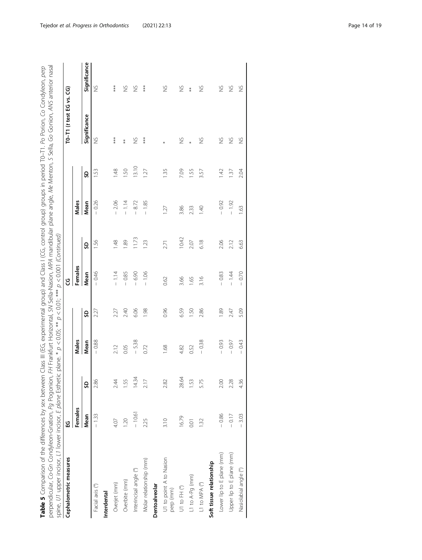Table 5 Comparison of the differences by sex between Class III (EG, experimental group) and Class I (CG, control group) groups in period T0–T1. Po Porion, Co Condyleon, *perp*<br>perpendicular, Co-Gn Condyleon-Gnation, Pg Pog perpendicular, Co-Gn Condyleon-Gnation, Pg Pogonion, FH Frankfurt Horizontal, SN Sella-Nasion, MPA mandibular plane angle, Me Menton, S Sella, Go Gonion, ANS anterior nasal Table 5 Comparison of the differences by sex between Class III (EG, experimental group) and Class I (CG, control group) groups in period T0–T1. Po Porion, Co Condyleon, perp

|                                      | ្អូ      |       |         |      | ყ       |                |                |       | TO-T1 (t test EG vs. CG) |               |
|--------------------------------------|----------|-------|---------|------|---------|----------------|----------------|-------|--------------------------|---------------|
|                                      | Females  |       | Males   |      | Females |                | Males          |       |                          |               |
|                                      | Mean     | S     | Mean    | S    | Mean    | SD             | Mean           | SD    | Significance             | Significance  |
| Facial axis (°)                      | $-1.33$  | 2.86  | $-0.88$ | 227  | $-0.46$ | <b>951</b>     | $-0.26$        | 1.53  | $\frac{5}{2}$            | $\frac{1}{2}$ |
| Interdental                          |          |       |         |      |         |                |                |       |                          |               |
| Overjet (mm)                         | 4.07     | 2.44  | 2.12    | 2.27 | $-1.14$ | $\frac{48}{5}$ | 2.06           | 1.48  | $***$                    | ***           |
| Overbite (mm)                        | 1.20     | 1.55  | 0.05    | 2.40 | $-0.85$ | <b>99</b>      | $-1.14$        | 1.50  | $*$                      | $\gtrapprox$  |
| Interincisal angle (°)               | $-10.61$ | 14.34 | $-5.38$ | 6.06 | $-6.90$ | 11.73          | 8.72           | 13.10 | ž                        | S             |
| Molar relationship (mm)              | 2.25     | 2.17  | 0.72    | 1.98 | $-1.06$ | 1.23           | $-1.85$        | 1.27  | ***                      | ***           |
| Dentoalveolar                        |          |       |         |      |         |                |                |       |                          |               |
| U1 to point A to Nasion<br>perp (mm) | 3.10     | 2.82  | 1.68    | 0.96 | 0.62    | 2.71           | 1.27           | 1.35  |                          | $\frac{5}{2}$ |
| U1 to FH (°)                         | 16.79    | 28.64 | 4.82    | 659  | 3.66    | 10.42          | 3.86           | 7.09  | $\frac{5}{2}$            | $\gtrapprox$  |
| L1 to A-Pg (mm)                      | 0.01     | 1.53  | 0.52    | 1.50 | 1.65    | 2.07           | 2.33           | 1.55  | ×                        | $*$           |
| L1 to MPA (°)                        | 1.32     | 5.75  | $-0.38$ | 2.86 | 3.16    | 6.18           | $\frac{40}{5}$ | 3.57  | S                        | S             |
| Soft tissue relationship             |          |       |         |      |         |                |                |       |                          |               |
| Lower lip to E plane (mm)            | $-0.86$  | 2.00  | $-0.93$ | 1.89 | $-0.83$ | 2.06           | $-0.92$        | 1.42  | $\frac{8}{2}$            | $\frac{8}{2}$ |
| Upper lip to E plane (mm)            | $-0.17$  | 2.28  | $-0.97$ | 247  | $-1.44$ | 2.12           | $-1.92$        | 1.37  | $\frac{8}{2}$            | $\frac{8}{2}$ |
| Nasiolabial angle (°)                | 3.03     | 4.36  | $-0.43$ | 5.09 | $-0.70$ | 6.63           | 1.63           | 2.04  | $\frac{5}{2}$            | ž             |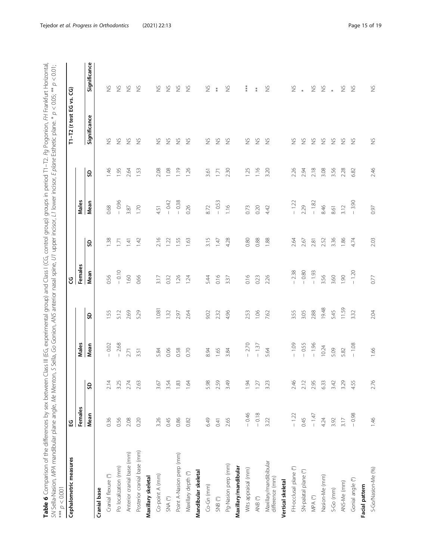<span id="page-14-0"></span>Table 6 Comparison of the differences by sex between Class III (EG, experimental group) and Class I (CG, control group) groups in period T1−T2. Pg Pogonion, FH Frankfurt Horizontal,<br>SN Sella-Nasion, MPA mandibular plane a Table 6 Comparison of the differences by sex between Class III (EG, experimental group) and Class I (CG, control group) groups in period T1–T2. Pg Pogonion, FH Frankfurt Horizontal, SN Sella-Nasion, MPA mandibular plane angle, Me Menton, S Sella, Go Gonion, ANS anterior nasal spine, U1 upper incisor, L1 lower incisor, E plane Esthetic plane. \* p < 0.05; \*\* p < 0.01;

| $10000 > d$ ***                                     |                 |      |               |       |                 |                          |               |               |                          |                      |
|-----------------------------------------------------|-----------------|------|---------------|-------|-----------------|--------------------------|---------------|---------------|--------------------------|----------------------|
| Cephalometric measures                              | 잎               |      |               |       | ც               |                          |               |               | T1-T2 (t test EG vs. CG) |                      |
|                                                     | Females<br>Mean | G    | Males<br>Mean | S)    | Females<br>Mean | S                        | Males<br>Mean | S             | Significance             | Significance         |
| Cranial base                                        |                 |      |               |       |                 |                          |               |               |                          |                      |
| Cranial flexure (°)                                 | 0.36            | 2.14 | 0.02          | 1.55  | 0.56            | $\overline{\mathbf{38}}$ | 0.68          | $-1.46$       | $\gtrapprox$             | $\gtrapprox$         |
| Po localization (mm)                                | 0.56            | 3.25 | $-2.68$       | 5.12  | $-0.10$         | 1.71                     | $-0.96$       | 1.95          | $\gtrapprox$             | $\gtrapprox$         |
| Anterior cranial base (mm)                          | 2.08            | 2.74 | 2.71          | 2.69  | 1.60            | 1.41                     | 3.87          | 2.64          | $\frac{5}{2}$            | $\frac{1}{2}$        |
| Posterior cranial base (mm)                         | 0.20            | 2.63 | 3.51          | 5.29  | 0.66            | 1.42                     | 1.70          | 1.53          | $\frac{5}{2}$            | $\frac{8}{2}$        |
| Maxillary skeletal                                  |                 |      |               |       |                 |                          |               |               |                          |                      |
| Co-point A (mm)                                     | 3.26            | 3.67 | 5.84          | 1.081 | 3.17            | 2.16                     | 4.51          | 2.08          | $\frac{8}{2}$            | $\frac{\omega}{2}$   |
| $\mathsf{SNA}\ \mathsf{(}^{\mathsf{o}}\!\mathsf{)}$ | 0.45            | 3.54 | 0.06          | 1.32  | 0.32            | 1.22                     | $-0.42$       | 1.08          | $\frac{5}{2}$            | $\frac{8}{2}$        |
| Point A-Nasion perp (mm)                            | 0.86            | 1.83 | 0.58          | 2.97  | 1.26            | 1.55                     | $-0.38$       | 1.19          | $\frac{\omega}{2}$       | $\frac{8}{2}$        |
| Maxillary depth (°)                                 | 0.82            | 1.64 | 0.70          | 2.64  | 1.24            | 1.63                     | 0.26          | 1.26          | $\frac{6}{2}$            | $\frac{6}{2}$        |
| Mandibular skeletal                                 |                 |      |               |       |                 |                          |               |               |                          |                      |
| $Co-Gn$ (mm)                                        | 6.49            | 5.98 | 8.94          | 9.02  | 5.44            | 3.15                     | 8.72          | 3.61          | $\gtrapprox$             | $\frac{\omega}{2}$   |
| $\mathsf{SNB}$ (°)                                  | 0.41            | 2.59 | 1.65          | 232   | 0.16            | 1.47                     | $-0.53$       | 1.71          | $\frac{\omega}{2}$       | $\ddot{*}$           |
| Pg-Nasion perp (mm)                                 | 2.65            | 3.49 | 3.84          | 4.96  | 3.37            | 4.28                     | 1.16          | 2.30          | $\frac{8}{2}$            | $\frac{\sqrt{2}}{2}$ |
| Maxillary/mandibular                                |                 |      |               |       |                 |                          |               |               |                          |                      |
| Wits appraisal (mm)                                 | $-0.46$         | 1.94 | $-2.70$       | 2.53  | 0.16            | 0.80                     | 0.73          | 1.25          | $\gtrapprox$             | $***$                |
| ANB $(^\circ)$                                      | $-0.18$         | 1.27 | $-1.37$       | 1.06  | 0.23            | 0.88                     | 0.20          | $\frac{1}{2}$ | $\gtrapprox$             | $\ast$               |
| Maxillary/mandibibular<br>difference (mm)           | 3.22            | 3.23 | 5.64          | 7.62  | 2.26            | 1.88                     | 4.42          | 3.20          | $\frac{6}{2}$            | $\frac{5}{2}$        |
| Vertical skeletal                                   |                 |      |               |       |                 |                          |               |               |                          |                      |
| FH-occlusal plane (°)                               | $-1.22$         | 2.46 | $-1.09$       | 3.55  | 2.38            | 2.64                     | $-1.22$       | 2.26          | $\gtrapprox$             | $\gtrapprox$         |
| SN-palatal plane (°)                                | 0.45            | 2.12 | $-0.55$       | 3.05  | $-0.80$         | 2.67                     | 2.29          | 2.94          | $\gtrapprox$             | $\ast$               |
| $\ensuremath{\mathsf{MPA}}$<br>$(^\circ)$           | $-1.47$         | 2.95 | $-1.96$       | 2.88  | $-1.93$         | 2.81                     | $-1.82$       | 2.18          | $\frac{\omega}{2}$       | $\frac{\omega}{2}$   |
| Nasion-Me (mm)                                      | 4.24            | 6.33 | 10.24         | 19.48 | 3.56            | 2.52                     | 8.46          | 3.08          | $\frac{8}{2}$            | $\frac{1}{2}$        |
| $S$ -Go $(mm)$                                      | 3.92            | 3.42 | 5.09          | 5.45  | 3.60            | 3.36                     | 8.61          | 3.56          | $\frac{\omega}{2}$       | $\ddot{\ast}$        |
| ANS-Me (mm)                                         | 3.17            | 3.29 | 5.82          | 11.59 | 1.90            | 1.86                     | 3.12          | 2.28          | $\frac{6}{2}$            | $\frac{\sqrt{2}}{2}$ |
| Gonial angle (°)                                    | $-0.98$         | 4.55 | $-1.08$       | 3.32  | $-1.20$         | 4.74                     | $-3.90$       | 6.82          | $\frac{8}{2}$            | $\frac{1}{2}$        |
| Facial pattern                                      |                 |      |               |       |                 |                          |               |               |                          |                      |
| S-Go/Nasion-Me (%)                                  | 1.46            | 2.76 | 1.66          | 2.04  | 0.77            | 2.03                     | 0.97          | 2.46          | $\gtrapprox$             | $\gtrapprox$         |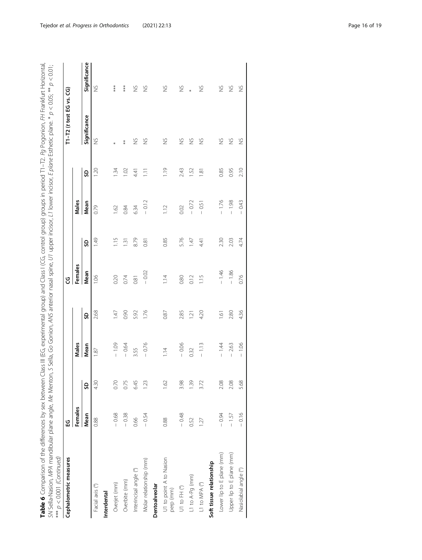Table 6 Comparison of the differences by sex between Class III (EG, experimental group) and Class I (CG, control group) groups in period T1–T2. Pg Pogonion, FH Frankfurt Horizontal,<br>SN Sella-Nasion, MPA mandibular plane an Table 6 Comparison of the differences by sex between Class III (EG, experimental group) and Class I (CG, control group) groups in period T1–T2. Pg Pogonion, FH Frankfurt Horizontal, SN Sella-Nasion, MPA mandibular plane angle, Me Menton, S Sella, Go Gonion, ANS anterior nasal spine, U1 upper incisor, L1 lower incisor, E plane Esthetic plane. \* p < 0.05; \*\* p < 0.01;

| $*** p < 0.001$ (Continued)          |         |      |               |                |         |      |         |                |                          |               |
|--------------------------------------|---------|------|---------------|----------------|---------|------|---------|----------------|--------------------------|---------------|
| Cephalometric measures               | មួ      |      |               |                | ყ       |      |         |                | T1-T2 (t test EG vs. CG) |               |
|                                      | Females |      | Males         |                | Females |      | Males   |                |                          |               |
|                                      | Mean    | g    | Mean          | g              | Mean    | SD   | Mean    | SD             | Significance             | Significance  |
| Facial axis (°)                      | 0.88    | 4.30 | 87            | 2.68           | 1.06    | 1.49 | 0.79    | $\frac{5}{20}$ | $\gtrapprox$             | $\frac{8}{2}$ |
| Interdental                          |         |      |               |                |         |      |         |                |                          |               |
| Overjet (mm)                         | $-0.68$ | 0.70 | $-1.09$       | 1.47           | 0.20    | 1.15 | 1.62    | 1.34           | $\ast$                   | ***           |
| Overbite (mm)                        | $-0.38$ | 0.75 | $-0.64$       | 0.90           | 0.74    | 1.31 | 0.84    | 1.02           | $*$                      | ***           |
| Interincisal angle (°)               | 0.66    | 6.45 | 3.55          | 5.92           | 0.81    | 8.79 | 6.34    | 4.41           | S                        | $\frac{5}{2}$ |
| Molar relationship (mm)              | $-0.54$ | 1.23 | $-0.76$       | 1.76           | $-0.02$ | 0.81 | $-0.12$ | $\Xi$          | S                        | S             |
| Dentoalveolar                        |         |      |               |                |         |      |         |                |                          |               |
| U1 to point A to Nasion<br>perp (mm) | 0.88    | 1.62 | $\frac{1}{4}$ | 0.87           | 1.14    | 0.85 | 1.12    | $\frac{1}{2}$  | S                        | $\frac{8}{2}$ |
| U1 to FH (°)                         | $-0.48$ | 3.98 | $-0.06$       | 2.85           | 0.80    | 5.76 | 0.02    | 2.43           | $\gtrapprox$             | $\frac{8}{2}$ |
| L1 to A-Pg (mm)                      | 0.52    | 1.39 | 0.32          | 1.21           | 0.12    | 1.47 | $-0.72$ | 1.52           | $\gtrapprox$             | *             |
| L1 to MPA (°)                        | 1.27    | 3.72 | $-1.13$       | 4.20           | 1.15    | 4.41 | $-0.51$ | $\frac{1}{8}$  | S                        | $\frac{8}{2}$ |
| Soft tissue relationship             |         |      |               |                |         |      |         |                |                          |               |
| Lower lip to E plane (mm)            | $-0.94$ | 2.08 | $-1.44$       | $\overline{6}$ | $-1.46$ | 2.30 | $-1.76$ | 0.85           | $\frac{8}{2}$            | $\frac{8}{2}$ |
| Upper lip to E plane (mm)            | $-1.57$ | 2.08 | $-2.63$       | 2.80           | $-1.86$ | 2.03 | $-1.98$ | 0.95           | $\frac{8}{2}$            | $\frac{8}{2}$ |
| Nasiolabial angle (°)                | $-0.16$ | 5.68 | $-1.06$       | 436            | 0.76    | 4.74 | $-0.43$ | 2.10           | $\frac{5}{2}$            | $\frac{8}{2}$ |
|                                      |         |      |               |                |         |      |         |                |                          |               |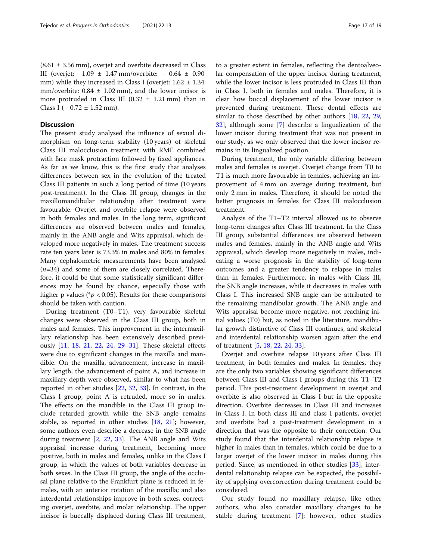# **Discussion**

The present study analysed the influence of sexual dimorphism on long-term stability (10 years) of skeletal Class III malocclusion treatment with RME combined with face mask protraction followed by fixed appliances. As far as we know, this is the first study that analyses differences between sex in the evolution of the treated Class III patients in such a long period of time (10 years post-treatment). In the Class III group, changes in the maxillomandibular relationship after treatment were favourable. Overjet and overbite relapse were observed in both females and males. In the long term, significant differences are observed between males and females, mainly in the ANB angle and Wits appraisal, which developed more negatively in males. The treatment success rate ten years later is 73.3% in males and 80% in females. Many cephalometric measurements have been analysed  $(n=34)$  and some of them are closely correlated. Therefore, it could be that some statistically significant differences may be found by chance, especially those with higher p values ( $p < 0.05$ ). Results for these comparisons should be taken with caution.

During treatment (T0–T1), very favourable skeletal changes were observed in the Class III group, both in males and females. This improvement in the intermaxillary relationship has been extensively described previously [\[11](#page-18-0), [18](#page-18-0), [21,](#page-18-0) [22,](#page-18-0) [24,](#page-18-0) [29](#page-18-0)–[31\]](#page-18-0). These skeletal effects were due to significant changes in the maxilla and mandible. On the maxilla, advancement, increase in maxillary length, the advancement of point A, and increase in maxillary depth were observed, similar to what has been reported in other studies [\[22](#page-18-0), [32](#page-18-0), [33\]](#page-18-0). In contrast, in the Class I group, point A is retruded, more so in males. The effects on the mandible in the Class III group include retarded growth while the SNB angle remains stable, as reported in other studies [[18,](#page-18-0) [21\]](#page-18-0); however, some authors even describe a decrease in the SNB angle during treatment [[2,](#page-17-0) [22](#page-18-0), [33](#page-18-0)]. The ANB angle and Wits appraisal increase during treatment, becoming more positive, both in males and females, unlike in the Class I group, in which the values of both variables decrease in both sexes. In the Class III group, the angle of the occlusal plane relative to the Frankfurt plane is reduced in females, with an anterior rotation of the maxilla; and also interdental relationships improve in both sexes, correcting overjet, overbite, and molar relationship. The upper incisor is buccally displaced during Class III treatment,

to a greater extent in females, reflecting the dentoalveolar compensation of the upper incisor during treatment, while the lower incisor is less protruded in Class III than in Class I, both in females and males. Therefore, it is clear how buccal displacement of the lower incisor is prevented during treatment. These dental effects are similar to those described by other authors [[18](#page-18-0), [22](#page-18-0), [29](#page-18-0), [32\]](#page-18-0), although some [[7\]](#page-18-0) describe a lingualization of the lower incisor during treatment that was not present in our study, as we only observed that the lower incisor remains in its lingualized position.

During treatment, the only variable differing between males and females is overjet. Overjet change from T0 to T1 is much more favourable in females, achieving an improvement of 4 mm on average during treatment, but only 2 mm in males. Therefore, it should be noted the better prognosis in females for Class III malocclusion treatment.

Analysis of the T1–T2 interval allowed us to observe long-term changes after Class III treatment. In the Class III group, substantial differences are observed between males and females, mainly in the ANB angle and Wits appraisal, which develop more negatively in males, indicating a worse prognosis in the stability of long-term outcomes and a greater tendency to relapse in males than in females. Furthermore, in males with Class III, the SNB angle increases, while it decreases in males with Class I. This increased SNB angle can be attributed to the remaining mandibular growth. The ANB angle and Wits appraisal become more negative, not reaching initial values (T0) but, as noted in the literature, mandibular growth distinctive of Class III continues, and skeletal and interdental relationship worsen again after the end of treatment [[5,](#page-18-0) [18,](#page-18-0) [22](#page-18-0), [24](#page-18-0), [33](#page-18-0)].

Overjet and overbite relapse 10 years after Class III treatment, in both females and males. In females, they are the only two variables showing significant differences between Class III and Class I groups during this T1–T2 period. This post-treatment development in overjet and overbite is also observed in Class I but in the opposite direction. Overbite decreases in Class III and increases in Class I. In both class III and class I patients, overjet and overbite had a post-treatment development in a direction that was the opposite to their correction. Our study found that the interdental relationship relapse is higher in males than in females, which could be due to a larger overjet of the lower incisor in males during this period. Since, as mentioned in other studies [[33\]](#page-18-0), interdental relationship relapse can be expected, the possibility of applying overcorrection during treatment could be considered.

Our study found no maxillary relapse, like other authors, who also consider maxillary changes to be stable during treatment [[7](#page-18-0)]; however, other studies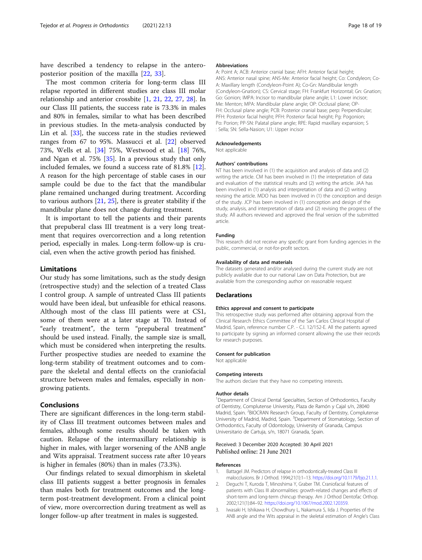<span id="page-17-0"></span>have described a tendency to relapse in the anteroposterior position of the maxilla [\[22](#page-18-0), [33](#page-18-0)].

The most common criteria for long-term class III relapse reported in different studies are class III molar relationship and anterior crossbite [1, [21](#page-18-0), [22,](#page-18-0) [27](#page-18-0), [28\]](#page-18-0). In our Class III patients, the success rate is 73.3% in males and 80% in females, similar to what has been described in previous studies. In the meta-analysis conducted by Lin et al. [[33](#page-18-0)], the success rate in the studies reviewed ranges from 67 to 95%. Massucci et al. [\[22](#page-18-0)] observed 73%, Wells et al. [[34](#page-18-0)] 75%, Westwood et al. [\[18](#page-18-0)] 76%, and Ngan et al. 75% [\[35](#page-18-0)]. In a previous study that only included females, we found a success rate of 81.8% [\[12](#page-18-0)]. A reason for the high percentage of stable cases in our sample could be due to the fact that the mandibular plane remained unchanged during treatment. According to various authors  $[21, 25]$  $[21, 25]$  $[21, 25]$ , there is greater stability if the mandibular plane does not change during treatment.

It is important to tell the patients and their parents that prepuberal class III treatment is a very long treatment that requires overcorrection and a long retention period, especially in males. Long-term follow-up is crucial, even when the active growth period has finished.

## Limitations

Our study has some limitations, such as the study design (retrospective study) and the selection of a treated Class I control group. A sample of untreated Class III patients would have been ideal, but unfeasible for ethical reasons. Although most of the class III patients were at CS1, some of them were at a later stage at T0. Instead of "early treatment", the term "prepuberal treatment" should be used instead. Finally, the sample size is small, which must be considered when interpreting the results. Further prospective studies are needed to examine the long-term stability of treatment outcomes and to compare the skeletal and dental effects on the craniofacial structure between males and females, especially in nongrowing patients.

# Conclusions

There are significant differences in the long-term stability of Class III treatment outcomes between males and females, although some results should be taken with caution. Relapse of the intermaxillary relationship is higher in males, with larger worsening of the ANB angle and Wits appraisal. Treatment success rate after 10 years is higher in females (80%) than in males (73.3%).

Our findings related to sexual dimorphism in skeletal class III patients suggest a better prognosis in females than males both for treatment outcomes and the longterm post-treatment development. From a clinical point of view, more overcorrection during treatment as well as longer follow-up after treatment in males is suggested.

#### Abbreviations

A: Point A; ACB: Anterior cranial base; AFH: Anterior facial height; ANS: Anterior nasal spine; ANS-Me: Anterior facial height; Co: Condyleon; Co-A: Maxillary length (Condyleon-Point A); Co-Gn: Mandibular length (Condyleon-Gnation); CS: Cervical stage; FH: Frankfurt Horizontal; Gn: Gnation; Go: Gonion; IMPA: Incisor to mandibular plane angle; L1: Lower incisor; Me: Menton; MPA: Mandibular plane angle; OP: Occlusal plane; OP-FH: Occlusal plane angle; PCB: Posterior cranial base; perp: Perpendicular; PFH: Posterior facial height; PFH: Posterior facial height; Pg: Pogonion; Po: Porion; PP-SN: Palatal plane angle; RPE: Rapid maxillary expansion; S : Sella; SN: Sella-Nasion; U1: Upper incisor

#### Acknowledgements

Not applicable

#### Authors' contributions

NT has been involved in (1) the acquisition and analysis of data and (2) writing the article. CM has been involved in (1) the interpretation of data and evaluation of the statistical results and (2) writing the article. JAA has been involved in (1) analysis and interpretation of data and (2) writing revising the article. MDO has been involved in (1) the conception and design of the study. JCP has been involved in (1) conception and design of the study, analysis, and interpretation of data and (2) revising the progress of the study. All authors reviewed and approved the final version of the submitted article.

#### Funding

This research did not receive any specific grant from funding agencies in the public, commercial, or not-for-profit sectors.

# Availability of data and materials

The datasets generated and/or analysed during the current study are not publicly available due to our national Law on Data Protection, but are available from the corresponding author on reasonable request

#### **Declarations**

#### Ethics approval and consent to participate

This retrospective study was performed after obtaining approval from the Clinical Research Ethics Committee of the San Carlos Clinical Hospital of Madrid, Spain, reference number C.P. - C.I. 12/152-E. All the patients agreed to participate by signing an informed consent allowing the use their records for research purposes.

#### Consent for publication

Not applicable

#### Competing interests

The authors declare that they have no competing interests.

#### Author details

<sup>1</sup>Department of Clinical Dental Specialties, Section of Orthodontics, Faculty of Dentistry, Complutense University, Plaza de Ramón y Cajal s/n, 28040 Madrid, Spain. <sup>2</sup>BIOCRAN Research Group, Faculty of Dentistry, Complutense University of Madrid, Madrid, Spain. <sup>3</sup>Department of Stomatology, Section of Orthodontics, Faculty of Odontology, University of Granada, Campus Universitario de Cartuja, s/n, 18071 Granada, Spain.

# Received: 3 December 2020 Accepted: 30 April 2021 Published online: 21 June 2021

#### References

- 1. Battagel JM. Predictors of relapse in orthodontically-treated Class III malocclusions. Br J Orthod. 1994;21(1):1–13. [https://doi.org/10.1179/bjo.21.1.1.](https://doi.org/10.1179/bjo.21.1.1)
- 2. Deguchi T, Kuroda T, Minoshima Y, Graber TM. Craniofacial features of patients with Class III abnormalities: growth-related changes and effects of short-term and long-term chincup therapy. Am J Orthod Dentofac Orthop. 2002;121(1):84–92. [https://doi.org/10.1067/mod.2002.120359.](https://doi.org/10.1067/mod.2002.120359)
- 3. Iwasaki H, Ishikawa H, Chowdhury L, Nakamura S, Iida J. Properties of the ANB angle and the Wits appraisal in the skeletal estimation of Angle's Class